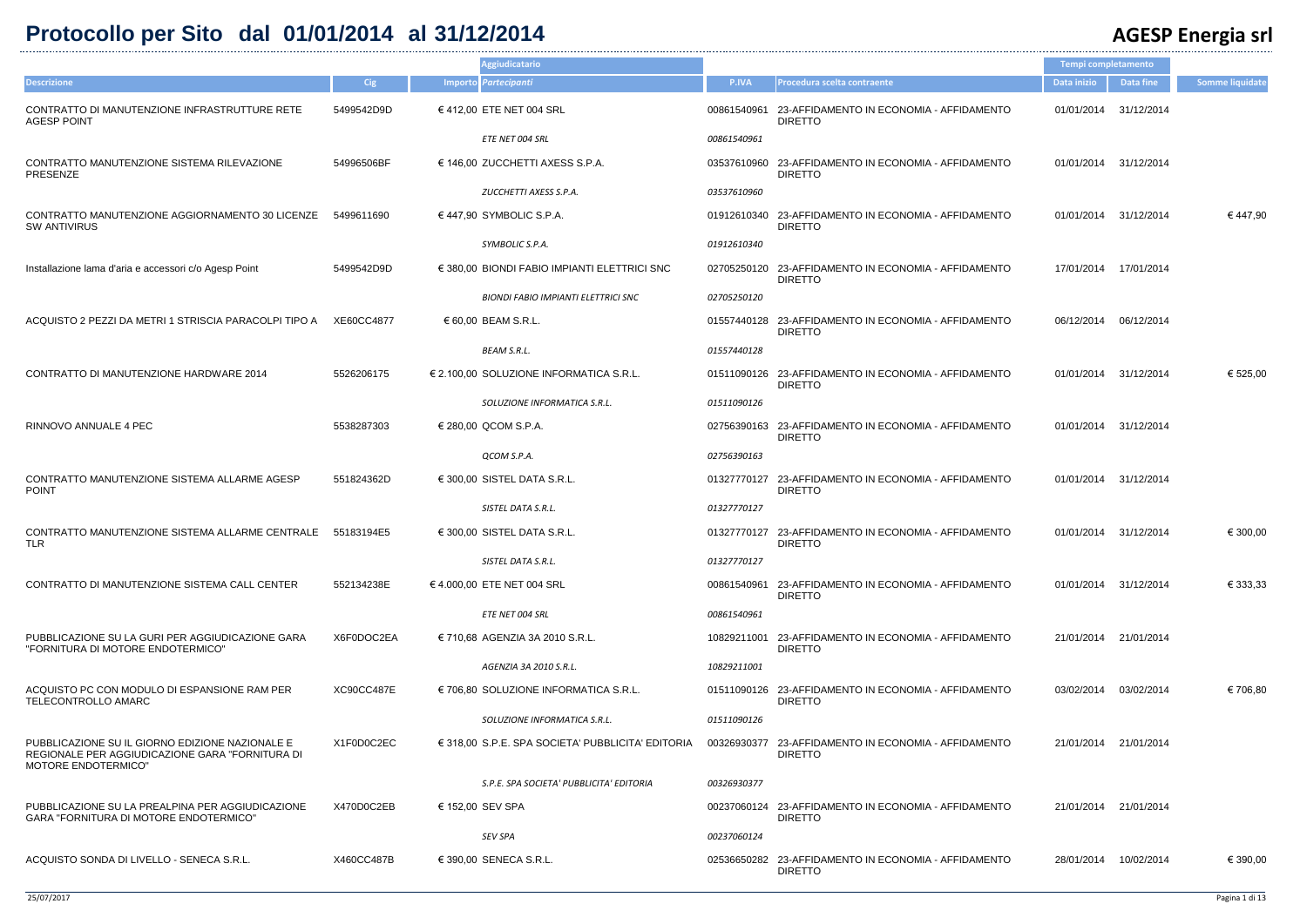## **Protocollo per Sito dal 01/01/2014 al 31/12/2014 AGESP Energia srl**

|                                                                                                                           |            | <b>Aggiudicatario</b>                             |             |                                                                        | Tempi completamento   |                  |                        |
|---------------------------------------------------------------------------------------------------------------------------|------------|---------------------------------------------------|-------------|------------------------------------------------------------------------|-----------------------|------------------|------------------------|
| <b>Descrizione</b>                                                                                                        | Cig        | Importo Partecipanti                              | P.IVA       | Procedura scelta contraente                                            | Data inizio           | <b>Data fine</b> | <b>Somme liquidate</b> |
| CONTRATTO DI MANUTENZIONE INFRASTRUTTURE RETE<br><b>AGESP POINT</b>                                                       | 5499542D9D | €412,00 ETE NET 004 SRL                           |             | 00861540961 23-AFFIDAMENTO IN ECONOMIA - AFFIDAMENTO<br><b>DIRETTO</b> | 01/01/2014            | 31/12/2014       |                        |
|                                                                                                                           |            | ETE NET 004 SRL                                   | 00861540961 |                                                                        |                       |                  |                        |
| CONTRATTO MANUTENZIONE SISTEMA RILEVAZIONE<br>PRESENZE                                                                    | 54996506BF | € 146,00 ZUCCHETTI AXESS S.P.A.                   |             | 03537610960 23-AFFIDAMENTO IN ECONOMIA - AFFIDAMENTO<br><b>DIRETTO</b> | 01/01/2014            | 31/12/2014       |                        |
|                                                                                                                           |            | ZUCCHETTI AXESS S.P.A.                            | 03537610960 |                                                                        |                       |                  |                        |
| CONTRATTO MANUTENZIONE AGGIORNAMENTO 30 LICENZE<br><b>SW ANTIVIRUS</b>                                                    | 5499611690 | €447,90 SYMBOLIC S.P.A.                           |             | 01912610340 23-AFFIDAMENTO IN ECONOMIA - AFFIDAMENTO<br><b>DIRETTO</b> | 01/01/2014            | 31/12/2014       | € 447,90               |
|                                                                                                                           |            | SYMBOLIC S.P.A.                                   | 01912610340 |                                                                        |                       |                  |                        |
| Installazione lama d'aria e accessori c/o Agesp Point                                                                     | 5499542D9D | € 380,00 BIONDI FABIO IMPIANTI ELETTRICI SNC      |             | 02705250120 23-AFFIDAMENTO IN ECONOMIA - AFFIDAMENTO<br><b>DIRETTO</b> | 17/01/2014 17/01/2014 |                  |                        |
|                                                                                                                           |            | <b>BIONDI FABIO IMPIANTI ELETTRICI SNC</b>        | 02705250120 |                                                                        |                       |                  |                        |
| ACQUISTO 2 PEZZI DA METRI 1 STRISCIA PARACOLPI TIPO A                                                                     | XE60CC4877 | € 60,00 BEAM S.R.L.                               |             | 01557440128 23-AFFIDAMENTO IN ECONOMIA - AFFIDAMENTO<br><b>DIRETTO</b> | 06/12/2014            | 06/12/2014       |                        |
|                                                                                                                           |            | <b>BEAM S.R.L.</b>                                | 01557440128 |                                                                        |                       |                  |                        |
| CONTRATTO DI MANUTENZIONE HARDWARE 2014                                                                                   | 5526206175 | € 2.100,00 SOLUZIONE INFORMATICA S.R.L.           |             | 01511090126 23-AFFIDAMENTO IN ECONOMIA - AFFIDAMENTO<br><b>DIRETTO</b> | 01/01/2014            | 31/12/2014       | € 525,00               |
|                                                                                                                           |            | SOLUZIONE INFORMATICA S.R.L.                      | 01511090126 |                                                                        |                       |                  |                        |
| RINNOVO ANNUALE 4 PEC                                                                                                     | 5538287303 | € 280,00 QCOM S.P.A.                              |             | 02756390163 23-AFFIDAMENTO IN ECONOMIA - AFFIDAMENTO<br><b>DIRETTO</b> | 01/01/2014 31/12/2014 |                  |                        |
|                                                                                                                           |            | QCOM S.P.A.                                       | 02756390163 |                                                                        |                       |                  |                        |
| CONTRATTO MANUTENZIONE SISTEMA ALLARME AGESP<br><b>POINT</b>                                                              | 551824362D | € 300,00 SISTEL DATA S.R.L.                       |             | 01327770127 23-AFFIDAMENTO IN ECONOMIA - AFFIDAMENTO<br><b>DIRETTO</b> | 01/01/2014            | 31/12/2014       |                        |
|                                                                                                                           |            | SISTEL DATA S.R.L.                                | 01327770127 |                                                                        |                       |                  |                        |
| CONTRATTO MANUTENZIONE SISTEMA ALLARME CENTRALE 55183194E5<br><b>TLR</b>                                                  |            | € 300,00 SISTEL DATA S.R.L.                       |             | 01327770127 23-AFFIDAMENTO IN ECONOMIA - AFFIDAMENTO<br><b>DIRETTO</b> | 01/01/2014 31/12/2014 |                  | € 300,00               |
|                                                                                                                           |            | SISTEL DATA S.R.L.                                | 01327770127 |                                                                        |                       |                  |                        |
| CONTRATTO DI MANUTENZIONE SISTEMA CALL CENTER                                                                             | 552134238E | €4.000,00 ETE NET 004 SRL                         | 00861540961 | 23-AFFIDAMENTO IN ECONOMIA - AFFIDAMENTO<br><b>DIRETTO</b>             | 01/01/2014 31/12/2014 |                  | € 333,33               |
|                                                                                                                           |            | ETE NET 004 SRL                                   | 00861540961 |                                                                        |                       |                  |                        |
| PUBBLICAZIONE SU LA GURI PER AGGIUDICAZIONE GARA<br>"FORNITURA DI MOTORE ENDOTERMICO"                                     | X6F0DOC2EA | € 710,68 AGENZIA 3A 2010 S.R.L.                   |             | 10829211001 23-AFFIDAMENTO IN ECONOMIA - AFFIDAMENTO<br><b>DIRETTO</b> | 21/01/2014 21/01/2014 |                  |                        |
|                                                                                                                           |            | AGENZIA 3A 2010 S.R.L.                            | 10829211001 |                                                                        |                       |                  |                        |
| ACQUISTO PC CON MODULO DI ESPANSIONE RAM PER<br>TELECONTROLLO AMARC                                                       | XC90CC487E | € 706,80 SOLUZIONE INFORMATICA S.R.L.             |             | 01511090126 23-AFFIDAMENTO IN ECONOMIA - AFFIDAMENTO<br><b>DIRETTO</b> | 03/02/2014            | 03/02/2014       | € 706,80               |
|                                                                                                                           |            | SOLUZIONE INFORMATICA S.R.L.                      | 01511090126 |                                                                        |                       |                  |                        |
| PUBBLICAZIONE SU IL GIORNO EDIZIONE NAZIONALE E<br>REGIONALE PER AGGIUDICAZIONE GARA "FORNITURA DI<br>MOTORE ENDOTERMICO" | X1F0D0C2EC | € 318,00 S.P.E. SPA SOCIETA' PUBBLICITA' EDITORIA | 00326930377 | 23-AFFIDAMENTO IN ECONOMIA - AFFIDAMENTO<br><b>DIRETTO</b>             | 21/01/2014            | 21/01/2014       |                        |
|                                                                                                                           |            | S.P.E. SPA SOCIETA' PUBBLICITA' EDITORIA          | 00326930377 |                                                                        |                       |                  |                        |
| PUBBLICAZIONE SU LA PREALPINA PER AGGIUDICAZIONE<br>GARA "FORNITURA DI MOTORE ENDOTERMICO"                                | X470D0C2EB | € 152,00 SEV SPA                                  |             | 00237060124 23-AFFIDAMENTO IN ECONOMIA - AFFIDAMENTO<br><b>DIRETTO</b> | 21/01/2014 21/01/2014 |                  |                        |
|                                                                                                                           |            | SEV SPA                                           | 00237060124 |                                                                        |                       |                  |                        |
| ACQUISTO SONDA DI LIVELLO - SENECA S.R.L.                                                                                 | X460CC487B | € 390,00 SENECA S.R.L.                            |             | 02536650282 23-AFFIDAMENTO IN ECONOMIA - AFFIDAMENTO<br><b>DIRETTO</b> | 28/01/2014            | 10/02/2014       | € 390,00               |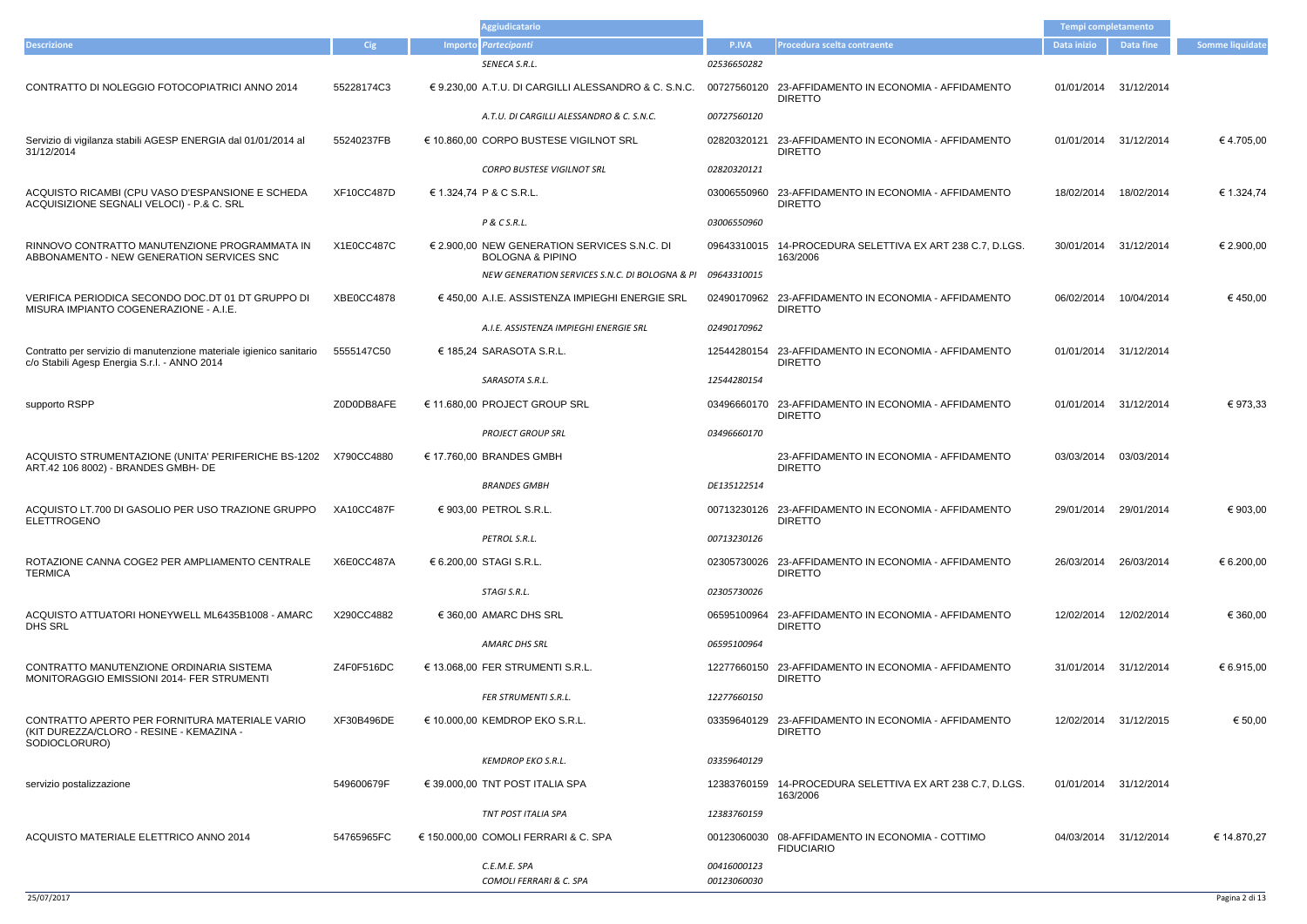|                                                                                                                     |                   | <b>Aggiudicatario</b>                                                       |                            |                                                                        | Tempi completamento |                        |                        |
|---------------------------------------------------------------------------------------------------------------------|-------------------|-----------------------------------------------------------------------------|----------------------------|------------------------------------------------------------------------|---------------------|------------------------|------------------------|
| <b>Descrizione</b>                                                                                                  | Cig               | Importo Partecipanti                                                        | P.IVA                      | Procedura scelta contraente                                            | Data inizio         | <b>Data fine</b>       | <b>Somme liquidate</b> |
|                                                                                                                     |                   | SENECA S.R.L.                                                               | 02536650282                |                                                                        |                     |                        |                        |
| CONTRATTO DI NOLEGGIO FOTOCOPIATRICI ANNO 2014                                                                      | 55228174C3        | € 9.230,00 A.T.U. DI CARGILLI ALESSANDRO & C. S.N.C.                        |                            | 00727560120 23-AFFIDAMENTO IN ECONOMIA - AFFIDAMENTO<br><b>DIRETTO</b> | 01/01/2014          | 31/12/2014             |                        |
|                                                                                                                     |                   | A.T.U. DI CARGILLI ALESSANDRO & C. S.N.C.                                   | 00727560120                |                                                                        |                     |                        |                        |
| Servizio di vigilanza stabili AGESP ENERGIA dal 01/01/2014 al<br>31/12/2014                                         | 55240237FB        | € 10.860,00 CORPO BUSTESE VIGILNOT SRL                                      | 02820320121                | 23-AFFIDAMENTO IN ECONOMIA - AFFIDAMENTO<br><b>DIRETTO</b>             | 01/01/2014          | 31/12/2014             | €4.705,00              |
|                                                                                                                     |                   | <b>CORPO BUSTESE VIGILNOT SRL</b>                                           | 02820320121                |                                                                        |                     |                        |                        |
| ACQUISTO RICAMBI (CPU VASO D'ESPANSIONE E SCHEDA<br>ACQUISIZIONE SEGNALI VELOCI) - P.& C. SRL                       | <b>XF10CC487D</b> | € 1.324,74 P & C S.R.L.                                                     |                            | 03006550960 23-AFFIDAMENTO IN ECONOMIA - AFFIDAMENTO<br><b>DIRETTO</b> | 18/02/2014          | 18/02/2014             | € 1.324,74             |
|                                                                                                                     |                   | P & C S.R.L.                                                                | 03006550960                |                                                                        |                     |                        |                        |
| RINNOVO CONTRATTO MANUTENZIONE PROGRAMMATA IN<br>ABBONAMENTO - NEW GENERATION SERVICES SNC                          | X1E0CC487C        | € 2.900,00 NEW GENERATION SERVICES S.N.C. DI<br><b>BOLOGNA &amp; PIPINO</b> |                            | 09643310015 14-PROCEDURA SELETTIVA EX ART 238 C.7, D.LGS.<br>163/2006  | 30/01/2014          | 31/12/2014             | € 2.900,00             |
|                                                                                                                     |                   | NEW GENERATION SERVICES S.N.C. DI BOLOGNA & PI 09643310015                  |                            |                                                                        |                     |                        |                        |
| VERIFICA PERIODICA SECONDO DOC.DT 01 DT GRUPPO DI<br>MISURA IMPIANTO COGENERAZIONE - A.I.E.                         | XBE0CC4878        | € 450,00 A.I.E. ASSISTENZA IMPIEGHI ENERGIE SRL                             |                            | 02490170962 23-AFFIDAMENTO IN ECONOMIA - AFFIDAMENTO<br><b>DIRETTO</b> | 06/02/2014          | 10/04/2014             | €450,00                |
|                                                                                                                     |                   | A.I.E. ASSISTENZA IMPIEGHI ENERGIE SRL                                      | 02490170962                |                                                                        |                     |                        |                        |
| Contratto per servizio di manutenzione materiale igienico sanitario<br>c/o Stabili Agesp Energia S.r.l. - ANNO 2014 | 5555147C50        | € 185,24 SARASOTA S.R.L.                                                    |                            | 12544280154 23-AFFIDAMENTO IN ECONOMIA - AFFIDAMENTO<br><b>DIRETTO</b> |                     | 01/01/2014 31/12/2014  |                        |
|                                                                                                                     |                   | SARASOTA S.R.L.                                                             | 12544280154                |                                                                        |                     |                        |                        |
| supporto RSPP                                                                                                       | Z0D0DB8AFE        | € 11.680,00 PROJECT GROUP SRL                                               |                            | 03496660170 23-AFFIDAMENTO IN ECONOMIA - AFFIDAMENTO<br><b>DIRETTO</b> | 01/01/2014          | 31/12/2014             | € 973,33               |
|                                                                                                                     |                   | <b>PROJECT GROUP SRL</b>                                                    | 03496660170                |                                                                        |                     |                        |                        |
| ACQUISTO STRUMENTAZIONE (UNITA' PERIFERICHE BS-1202<br>ART.42 106 8002) - BRANDES GMBH- DE                          | X790CC4880        | € 17.760,00 BRANDES GMBH                                                    |                            | 23-AFFIDAMENTO IN ECONOMIA - AFFIDAMENTO<br><b>DIRETTO</b>             | 03/03/2014          | 03/03/2014             |                        |
|                                                                                                                     |                   | <b>BRANDES GMBH</b>                                                         | DE135122514                |                                                                        |                     |                        |                        |
| ACQUISTO LT.700 DI GASOLIO PER USO TRAZIONE GRUPPO XA10CC487F<br><b>ELETTROGENO</b>                                 |                   | € 903,00 PETROL S.R.L.                                                      |                            | 00713230126 23-AFFIDAMENTO IN ECONOMIA - AFFIDAMENTO<br><b>DIRETTO</b> |                     | 29/01/2014 29/01/2014  | € 903,00               |
|                                                                                                                     |                   | PETROL S.R.L.                                                               | 00713230126                |                                                                        |                     |                        |                        |
| ROTAZIONE CANNA COGE2 PER AMPLIAMENTO CENTRALE<br><b>TERMICA</b>                                                    | X6E0CC487A        | € 6.200,00 STAGI S.R.L.                                                     |                            | 02305730026 23-AFFIDAMENTO IN ECONOMIA - AFFIDAMENTO<br><b>DIRETTO</b> |                     | 26/03/2014 26/03/2014  | € 6.200,00             |
|                                                                                                                     |                   | STAGI S.R.L.                                                                | 02305730026                |                                                                        |                     |                        |                        |
| ACQUISTO ATTUATORI HONEYWELL ML6435B1008 - AMARC<br><b>DHS SRL</b>                                                  | X290CC4882        | $\in$ 360,00 AMARC DHS SRL                                                  |                            | 06595100964 23-AFFIDAMENTO IN ECONOMIA - AFFIDAMENTO<br><b>DIRETTO</b> |                     | 12/02/2014  12/02/2014 | € 360,00               |
|                                                                                                                     |                   | AMARC DHS SRL                                                               | 06595100964                |                                                                        |                     |                        |                        |
| CONTRATTO MANUTENZIONE ORDINARIA SISTEMA<br>MONITORAGGIO EMISSIONI 2014- FER STRUMENTI                              | Z4F0F516DC        | $€$ 13.068,00 FER STRUMENTI S.R.L.                                          |                            | 12277660150 23-AFFIDAMENTO IN ECONOMIA - AFFIDAMENTO<br><b>DIRETTO</b> |                     | 31/01/2014 31/12/2014  | € 6.915,00             |
|                                                                                                                     |                   | <b>FER STRUMENTI S.R.L.</b>                                                 | 12277660150                |                                                                        |                     |                        |                        |
| CONTRATTO APERTO PER FORNITURA MATERIALE VARIO<br>(KIT DUREZZA/CLORO - RESINE - KEMAZINA -<br>SODIOCLORURO)         | XF30B496DE        | € 10.000,00 KEMDROP EKO S.R.L.                                              |                            | 03359640129 23-AFFIDAMENTO IN ECONOMIA - AFFIDAMENTO<br><b>DIRETTO</b> |                     | 12/02/2014 31/12/2015  | € 50,00                |
|                                                                                                                     |                   | <b>KEMDROP EKO S.R.L.</b>                                                   | 03359640129                |                                                                        |                     |                        |                        |
| servizio postalizzazione                                                                                            | 549600679F        | € 39.000,00 TNT POST ITALIA SPA                                             |                            | 12383760159 14-PROCEDURA SELETTIVA EX ART 238 C.7, D.LGS.<br>163/2006  |                     | 01/01/2014 31/12/2014  |                        |
|                                                                                                                     |                   | TNT POST ITALIA SPA                                                         | 12383760159                |                                                                        |                     |                        |                        |
| ACQUISTO MATERIALE ELETTRICO ANNO 2014                                                                              | 54765965FC        | € 150.000,00 COMOLI FERRARI & C. SPA                                        |                            | 00123060030 08-AFFIDAMENTO IN ECONOMIA - COTTIMO<br><b>FIDUCIARIO</b>  |                     | 04/03/2014 31/12/2014  | € 14.870,27            |
|                                                                                                                     |                   | C.E.M.E. SPA<br>COMOLI FERRARI & C. SPA                                     | 00416000123<br>00123060030 |                                                                        |                     |                        |                        |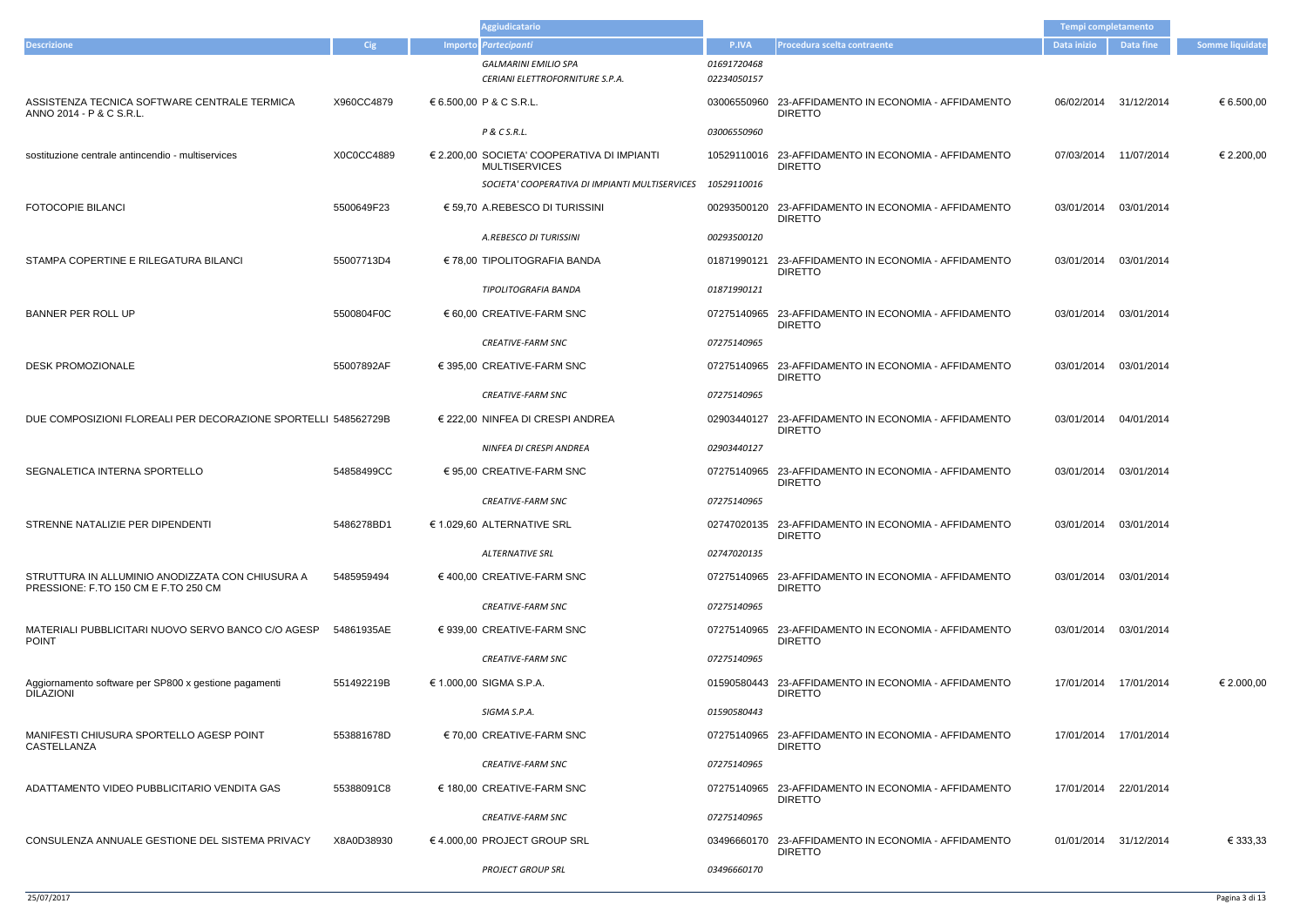|                                                                                          |            |  | <b>Aggiudicatario</b>                                               |                            |                                                                        | Tempi completamento   |                       |                        |
|------------------------------------------------------------------------------------------|------------|--|---------------------------------------------------------------------|----------------------------|------------------------------------------------------------------------|-----------------------|-----------------------|------------------------|
| <b>Descrizione</b>                                                                       | Cig        |  | Importo Partecipanti                                                | P.IVA                      | Procedura scelta contraente                                            | Data inizio           | Data fine             | <b>Somme liquidate</b> |
|                                                                                          |            |  | <b>GALMARINI EMILIO SPA</b><br>CERIANI ELETTROFORNITURE S.P.A.      | 01691720468<br>02234050157 |                                                                        |                       |                       |                        |
| ASSISTENZA TECNICA SOFTWARE CENTRALE TERMICA<br>ANNO 2014 - P & C S.R.L.                 | X960CC4879 |  | € 6.500,00 P & C S.R.L.                                             |                            | 03006550960 23-AFFIDAMENTO IN ECONOMIA - AFFIDAMENTO<br><b>DIRETTO</b> | 06/02/2014            | 31/12/2014            | € 6.500,00             |
|                                                                                          |            |  | P & C S.R.L.                                                        | 03006550960                |                                                                        |                       |                       |                        |
| sostituzione centrale antincendio - multiservices                                        | X0C0CC4889 |  | € 2.200,00 SOCIETA' COOPERATIVA DI IMPIANTI<br><b>MULTISERVICES</b> |                            | 10529110016 23-AFFIDAMENTO IN ECONOMIA - AFFIDAMENTO<br><b>DIRETTO</b> | 07/03/2014            | 11/07/2014            | € 2.200,00             |
|                                                                                          |            |  | SOCIETA' COOPERATIVA DI IMPIANTI MULTISERVICES                      | 10529110016                |                                                                        |                       |                       |                        |
| <b>FOTOCOPIE BILANCI</b>                                                                 | 5500649F23 |  | € 59,70 A.REBESCO DI TURISSINI                                      |                            | 00293500120 23-AFFIDAMENTO IN ECONOMIA - AFFIDAMENTO<br><b>DIRETTO</b> | 03/01/2014            | 03/01/2014            |                        |
|                                                                                          |            |  | A.REBESCO DI TURISSINI                                              | 00293500120                |                                                                        |                       |                       |                        |
| STAMPA COPERTINE E RILEGATURA BILANCI                                                    | 55007713D4 |  | € 78,00 TIPOLITOGRAFIA BANDA                                        |                            | 01871990121 23-AFFIDAMENTO IN ECONOMIA - AFFIDAMENTO<br><b>DIRETTO</b> | 03/01/2014            | 03/01/2014            |                        |
|                                                                                          |            |  | TIPOLITOGRAFIA BANDA                                                | 01871990121                |                                                                        |                       |                       |                        |
| BANNER PER ROLL UP                                                                       | 5500804F0C |  | $\epsilon$ 60,00 CREATIVE-FARM SNC                                  |                            | 07275140965 23-AFFIDAMENTO IN ECONOMIA - AFFIDAMENTO<br><b>DIRETTO</b> | 03/01/2014            | 03/01/2014            |                        |
|                                                                                          |            |  | <b>CREATIVE-FARM SNC</b>                                            | 07275140965                |                                                                        |                       |                       |                        |
| <b>DESK PROMOZIONALE</b>                                                                 | 55007892AF |  | $\in$ 395,00 CREATIVE-FARM SNC                                      |                            | 07275140965 23-AFFIDAMENTO IN ECONOMIA - AFFIDAMENTO<br><b>DIRETTO</b> | 03/01/2014            | 03/01/2014            |                        |
|                                                                                          |            |  | <b>CREATIVE-FARM SNC</b>                                            | 07275140965                |                                                                        |                       |                       |                        |
| DUE COMPOSIZIONI FLOREALI PER DECORAZIONE SPORTELLI 548562729B                           |            |  | $\in$ 222,00 NINFEA DI CRESPI ANDREA                                |                            | 02903440127 23-AFFIDAMENTO IN ECONOMIA - AFFIDAMENTO<br><b>DIRETTO</b> | 03/01/2014 04/01/2014 |                       |                        |
|                                                                                          |            |  | NINFEA DI CRESPI ANDREA                                             | 02903440127                |                                                                        |                       |                       |                        |
| SEGNALETICA INTERNA SPORTELLO                                                            | 54858499CC |  | € 95,00 CREATIVE-FARM SNC                                           |                            | 07275140965 23-AFFIDAMENTO IN ECONOMIA - AFFIDAMENTO<br><b>DIRETTO</b> | 03/01/2014            | 03/01/2014            |                        |
|                                                                                          |            |  | <b>CREATIVE-FARM SNC</b>                                            | 07275140965                |                                                                        |                       |                       |                        |
| STRENNE NATALIZIE PER DIPENDENTI                                                         | 5486278BD1 |  | € 1.029,60 ALTERNATIVE SRL                                          |                            | 02747020135 23-AFFIDAMENTO IN ECONOMIA - AFFIDAMENTO<br><b>DIRETTO</b> | 03/01/2014            | 03/01/2014            |                        |
|                                                                                          |            |  | <b>ALTERNATIVE SRL</b>                                              | 02747020135                |                                                                        |                       |                       |                        |
| STRUTTURA IN ALLUMINIO ANODIZZATA CON CHIUSURA A<br>PRESSIONE: F.TO 150 CM E F.TO 250 CM | 5485959494 |  | $\in$ 400.00 CREATIVE-FARM SNC                                      |                            | 07275140965 23-AFFIDAMENTO IN ECONOMIA - AFFIDAMENTO<br><b>DIRETTO</b> | 03/01/2014            | 03/01/2014            |                        |
|                                                                                          |            |  | <b>CREATIVE-FARM SNC</b>                                            | 07275140965                |                                                                        |                       |                       |                        |
| MATERIALI PUBBLICITARI NUOVO SERVO BANCO C/O AGESP<br><b>POINT</b>                       | 54861935AE |  | € 939,00 CREATIVE-FARM SNC                                          |                            | 07275140965 23-AFFIDAMENTO IN ECONOMIA - AFFIDAMENTO<br><b>DIRETTO</b> | 03/01/2014            | 03/01/2014            |                        |
|                                                                                          |            |  | <b>CREATIVE-FARM SNC</b>                                            | 07275140965                |                                                                        |                       |                       |                        |
| Aggiornamento software per SP800 x gestione pagamenti<br><b>DILAZIONI</b>                | 551492219B |  | € 1.000,00 SIGMA S.P.A.                                             |                            | 01590580443 23-AFFIDAMENTO IN ECONOMIA - AFFIDAMENTO<br><b>DIRETTO</b> |                       | 17/01/2014 17/01/2014 | € 2.000,00             |
|                                                                                          |            |  | SIGMA S.P.A.                                                        | 01590580443                |                                                                        |                       |                       |                        |
| MANIFESTI CHIUSURA SPORTELLO AGESP POINT<br>CASTELLANZA                                  | 553881678D |  | € 70,00 CREATIVE-FARM SNC                                           |                            | 07275140965 23-AFFIDAMENTO IN ECONOMIA - AFFIDAMENTO<br><b>DIRETTO</b> |                       | 17/01/2014 17/01/2014 |                        |
|                                                                                          |            |  | <b>CREATIVE-FARM SNC</b>                                            | 07275140965                |                                                                        |                       |                       |                        |
| ADATTAMENTO VIDEO PUBBLICITARIO VENDITA GAS                                              | 55388091C8 |  | € 180,00 CREATIVE-FARM SNC                                          |                            | 07275140965 23-AFFIDAMENTO IN ECONOMIA - AFFIDAMENTO<br><b>DIRETTO</b> |                       | 17/01/2014 22/01/2014 |                        |
|                                                                                          |            |  | <b>CREATIVE-FARM SNC</b>                                            | 07275140965                |                                                                        |                       |                       |                        |
| CONSULENZA ANNUALE GESTIONE DEL SISTEMA PRIVACY                                          | X8A0D38930 |  | € 4.000,00 PROJECT GROUP SRL                                        |                            | 03496660170 23-AFFIDAMENTO IN ECONOMIA - AFFIDAMENTO<br><b>DIRETTO</b> | 01/01/2014 31/12/2014 |                       | € 333,33               |
|                                                                                          |            |  | <b>PROJECT GROUP SRL</b>                                            | 03496660170                |                                                                        |                       |                       |                        |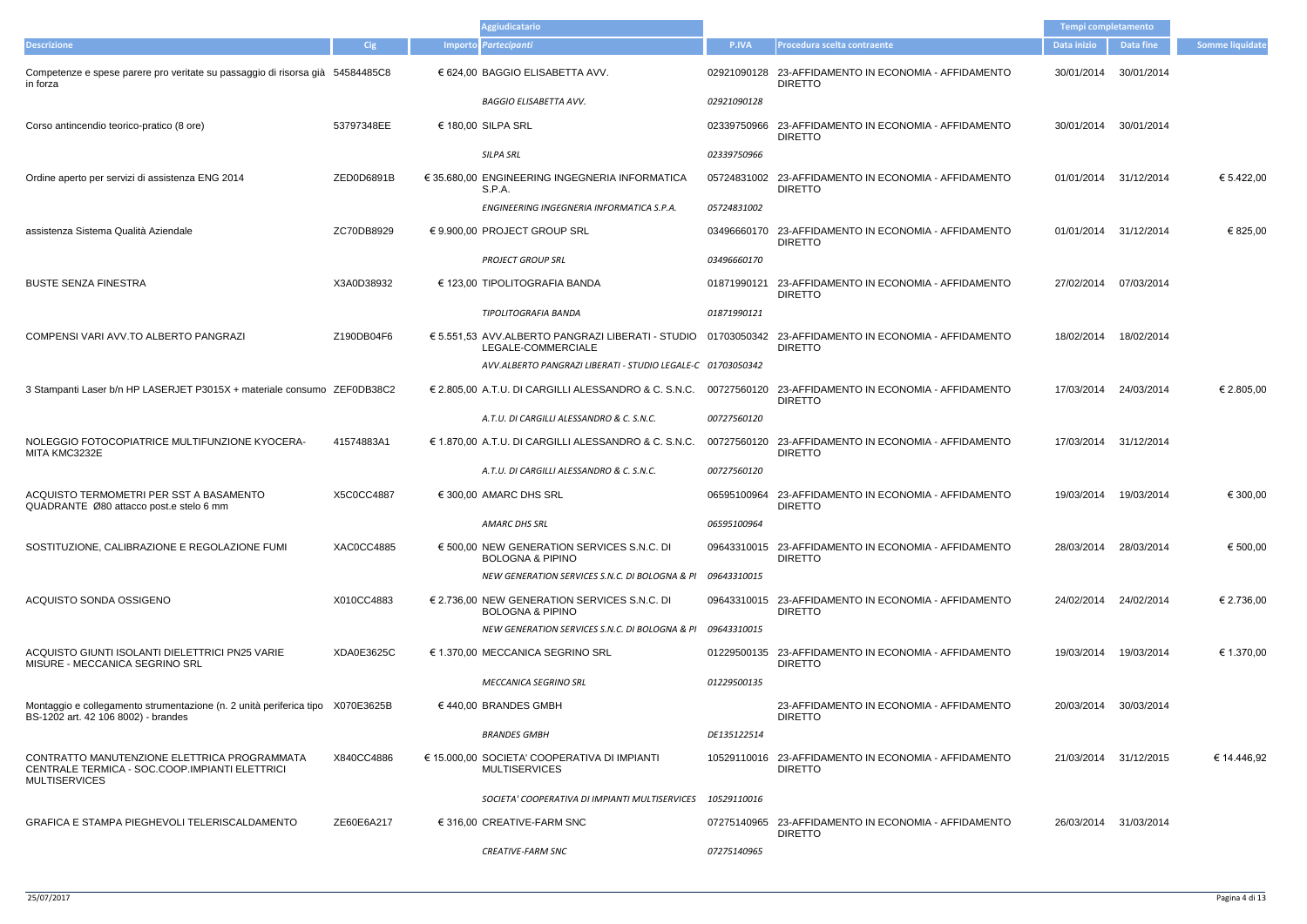|                                                                                                                        |            | <b>Aggiudicatario</b>                                                       |              |                                                                                                                          | Tempi completamento    |            |                        |
|------------------------------------------------------------------------------------------------------------------------|------------|-----------------------------------------------------------------------------|--------------|--------------------------------------------------------------------------------------------------------------------------|------------------------|------------|------------------------|
| <b>Descrizione</b>                                                                                                     | Cig        | Importo Partecipanti                                                        | <b>P.IVA</b> | Procedura scelta contraente                                                                                              | Data inizio            | Data fine  | <b>Somme liquidate</b> |
| Competenze e spese parere pro veritate su passaggio di risorsa già 54584485C8<br>in forza                              |            | € 624,00 BAGGIO ELISABETTA AVV.                                             |              | 02921090128 23-AFFIDAMENTO IN ECONOMIA - AFFIDAMENTO<br><b>DIRETTO</b>                                                   | 30/01/2014             | 30/01/2014 |                        |
|                                                                                                                        |            | <b>BAGGIO ELISABETTA AVV.</b>                                               | 02921090128  |                                                                                                                          |                        |            |                        |
| Corso antincendio teorico-pratico (8 ore)                                                                              | 53797348EE | € 180,00 SILPA SRL                                                          |              | 02339750966 23-AFFIDAMENTO IN ECONOMIA - AFFIDAMENTO<br><b>DIRETTO</b>                                                   | 30/01/2014 30/01/2014  |            |                        |
|                                                                                                                        |            | <b>SILPA SRL</b>                                                            | 02339750966  |                                                                                                                          |                        |            |                        |
| Ordine aperto per servizi di assistenza ENG 2014                                                                       | ZED0D6891B | € 35.680,00 ENGINEERING INGEGNERIA INFORMATICA<br>S.P.A.                    |              | 05724831002 23-AFFIDAMENTO IN ECONOMIA - AFFIDAMENTO<br><b>DIRETTO</b>                                                   | 01/01/2014 31/12/2014  |            | € 5.422,00             |
|                                                                                                                        |            | ENGINEERING INGEGNERIA INFORMATICA S.P.A.                                   | 05724831002  |                                                                                                                          |                        |            |                        |
| assistenza Sistema Qualità Aziendale                                                                                   | ZC70DB8929 | € 9.900,00 PROJECT GROUP SRL                                                |              | 03496660170 23-AFFIDAMENTO IN ECONOMIA - AFFIDAMENTO<br><b>DIRETTO</b>                                                   | 01/01/2014 31/12/2014  |            | € 825,00               |
|                                                                                                                        |            | <b>PROJECT GROUP SRL</b>                                                    | 03496660170  |                                                                                                                          |                        |            |                        |
| <b>BUSTE SENZA FINESTRA</b>                                                                                            | X3A0D38932 | € 123,00 TIPOLITOGRAFIA BANDA                                               |              | 01871990121 23-AFFIDAMENTO IN ECONOMIA - AFFIDAMENTO<br><b>DIRETTO</b>                                                   | 27/02/2014 07/03/2014  |            |                        |
|                                                                                                                        |            | TIPOLITOGRAFIA BANDA                                                        | 01871990121  |                                                                                                                          |                        |            |                        |
| COMPENSI VARI AVV.TO ALBERTO PANGRAZI                                                                                  | Z190DB04F6 | LEGALE-COMMERCIALE                                                          |              | € 5.551,53 AVV.ALBERTO PANGRAZI LIBERATI - STUDIO 01703050342 23-AFFIDAMENTO IN ECONOMIA - AFFIDAMENTO<br><b>DIRETTO</b> | 18/02/2014             | 18/02/2014 |                        |
|                                                                                                                        |            | AVV.ALBERTO PANGRAZI LIBERATI - STUDIO LEGALE-C 01703050342                 |              |                                                                                                                          |                        |            |                        |
| 3 Stampanti Laser b/n HP LASERJET P3015X + materiale consumo ZEF0DB38C2                                                |            | € 2.805,00 A.T.U. DI CARGILLI ALESSANDRO & C. S.N.C.                        |              | 00727560120 23-AFFIDAMENTO IN ECONOMIA - AFFIDAMENTO<br><b>DIRETTO</b>                                                   | 17/03/2014             | 24/03/2014 | € 2.805,00             |
|                                                                                                                        |            | A.T.U. DI CARGILLI ALESSANDRO & C. S.N.C.                                   | 00727560120  |                                                                                                                          |                        |            |                        |
| NOLEGGIO FOTOCOPIATRICE MULTIFUNZIONE KYOCERA-<br>MITA KMC3232E                                                        | 41574883A1 | € 1.870,00 A.T.U. DI CARGILLI ALESSANDRO & C. S.N.C.                        |              | 00727560120 23-AFFIDAMENTO IN ECONOMIA - AFFIDAMENTO<br><b>DIRETTO</b>                                                   | 17/03/2014 31/12/2014  |            |                        |
|                                                                                                                        |            | A.T.U. DI CARGILLI ALESSANDRO & C. S.N.C.                                   | 00727560120  |                                                                                                                          |                        |            |                        |
| ACQUISTO TERMOMETRI PER SST A BASAMENTO<br>QUADRANTE Ø80 attacco post.e stelo 6 mm                                     | X5C0CC4887 | € 300,00 AMARC DHS SRL                                                      |              | 06595100964 23-AFFIDAMENTO IN ECONOMIA - AFFIDAMENTO<br><b>DIRETTO</b>                                                   | 19/03/2014             | 19/03/2014 | € 300,00               |
|                                                                                                                        |            | AMARC DHS SRL                                                               | 06595100964  |                                                                                                                          |                        |            |                        |
| SOSTITUZIONE, CALIBRAZIONE E REGOLAZIONE FUMI                                                                          | XAC0CC4885 | € 500,00 NEW GENERATION SERVICES S.N.C. DI<br><b>BOLOGNA &amp; PIPINO</b>   |              | 09643310015 23-AFFIDAMENTO IN ECONOMIA - AFFIDAMENTO<br><b>DIRETTO</b>                                                   | 28/03/2014             | 28/03/2014 | € 500,00               |
|                                                                                                                        |            | NEW GENERATION SERVICES S.N.C. DI BOLOGNA & PI 09643310015                  |              |                                                                                                                          |                        |            |                        |
| ACQUISTO SONDA OSSIGENO                                                                                                | X010CC4883 | € 2.736,00 NEW GENERATION SERVICES S.N.C. DI<br><b>BOLOGNA &amp; PIPINO</b> |              | 09643310015 23-AFFIDAMENTO IN ECONOMIA - AFFIDAMENTO<br><b>DIRETTO</b>                                                   | 24/02/2014 24/02/2014  |            | € 2.736,00             |
|                                                                                                                        |            | NEW GENERATION SERVICES S.N.C. DI BOLOGNA & PI 09643310015                  |              |                                                                                                                          |                        |            |                        |
| ACQUISTO GIUNTI ISOLANTI DIELETTRICI PN25 VARIE<br>MISURE - MECCANICA SEGRINO SRL                                      | XDA0E3625C | € 1.370,00 MECCANICA SEGRINO SRL                                            |              | 01229500135 23-AFFIDAMENTO IN ECONOMIA - AFFIDAMENTO<br><b>DIRETTO</b>                                                   | 19/03/2014  19/03/2014 |            | € 1.370,00             |
|                                                                                                                        |            | <b>MECCANICA SEGRINO SRL</b>                                                | 01229500135  |                                                                                                                          |                        |            |                        |
| Montaggio e collegamento strumentazione (n. 2 unità periferica tipo X070E3625B<br>BS-1202 art. 42 106 8002) - brandes  |            | $\in$ 440,00 BRANDES GMBH                                                   |              | 23-AFFIDAMENTO IN ECONOMIA - AFFIDAMENTO<br><b>DIRETTO</b>                                                               | 20/03/2014 30/03/2014  |            |                        |
|                                                                                                                        |            | <b>BRANDES GMBH</b>                                                         | DE135122514  |                                                                                                                          |                        |            |                        |
| CONTRATTO MANUTENZIONE ELETTRICA PROGRAMMATA<br>CENTRALE TERMICA - SOC.COOP.IMPIANTI ELETTRICI<br><b>MULTISERVICES</b> | X840CC4886 | € 15.000,00 SOCIETA' COOPERATIVA DI IMPIANTI<br><b>MULTISERVICES</b>        |              | 10529110016 23-AFFIDAMENTO IN ECONOMIA - AFFIDAMENTO<br><b>DIRETTO</b>                                                   | 21/03/2014 31/12/2015  |            | € 14.446,92            |
|                                                                                                                        |            | SOCIETA' COOPERATIVA DI IMPIANTI MULTISERVICES                              | 10529110016  |                                                                                                                          |                        |            |                        |
| <b>GRAFICA E STAMPA PIEGHEVOLI TELERISCALDAMENTO</b>                                                                   | ZE60E6A217 | € 316,00 CREATIVE-FARM SNC                                                  |              | 07275140965 23-AFFIDAMENTO IN ECONOMIA - AFFIDAMENTO<br><b>DIRETTO</b>                                                   | 26/03/2014 31/03/2014  |            |                        |
|                                                                                                                        |            | <b>CREATIVE-FARM SNC</b>                                                    | 07275140965  |                                                                                                                          |                        |            |                        |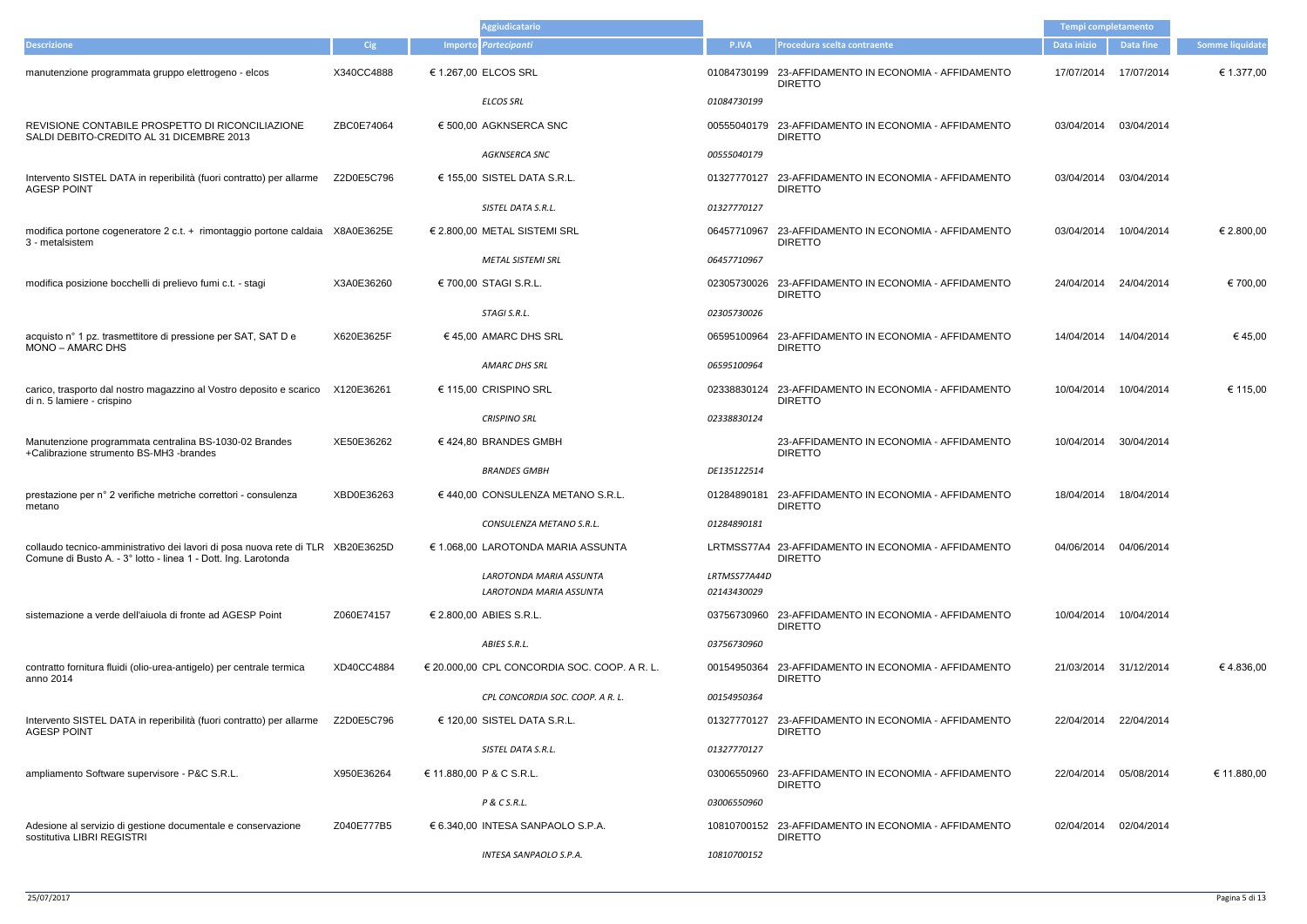|                                                                                                                                                   |            | <b>Aggiudicatario</b>                              |                             |                                                                        | Tempi completamento |                       |                 |
|---------------------------------------------------------------------------------------------------------------------------------------------------|------------|----------------------------------------------------|-----------------------------|------------------------------------------------------------------------|---------------------|-----------------------|-----------------|
| <b>Descrizione</b>                                                                                                                                | <b>Cig</b> | Importo Partecipanti                               | P.IVA                       | Procedura scelta contraente                                            | Data inizio         | <b>Data fine</b>      | Somme liquidate |
| manutenzione programmata gruppo elettrogeno - elcos                                                                                               | X340CC4888 | € 1.267,00 ELCOS SRL                               |                             | 01084730199 23-AFFIDAMENTO IN ECONOMIA - AFFIDAMENTO<br><b>DIRETTO</b> | 17/07/2014          | 17/07/2014            | € 1.377,00      |
|                                                                                                                                                   |            | <b>ELCOS SRL</b>                                   | 01084730199                 |                                                                        |                     |                       |                 |
| REVISIONE CONTABILE PROSPETTO DI RICONCILIAZIONE<br>SALDI DEBITO-CREDITO AL 31 DICEMBRE 2013                                                      | ZBC0E74064 | € 500,00 AGKNSERCA SNC                             |                             | 00555040179 23-AFFIDAMENTO IN ECONOMIA - AFFIDAMENTO<br><b>DIRETTO</b> | 03/04/2014          | 03/04/2014            |                 |
|                                                                                                                                                   |            | <b>AGKNSERCA SNC</b>                               | 00555040179                 |                                                                        |                     |                       |                 |
| Intervento SISTEL DATA in reperibilità (fuori contratto) per allarme<br><b>AGESP POINT</b>                                                        | Z2D0E5C796 | € 155,00 SISTEL DATA S.R.L.                        |                             | 01327770127 23-AFFIDAMENTO IN ECONOMIA - AFFIDAMENTO<br><b>DIRETTO</b> | 03/04/2014          | 03/04/2014            |                 |
|                                                                                                                                                   |            | SISTEL DATA S.R.L.                                 | 01327770127                 |                                                                        |                     |                       |                 |
| modifica portone cogeneratore 2 c.t. + rimontaggio portone caldaia X8A0E3625E<br>3 - metalsistem                                                  |            | € 2.800,00 METAL SISTEMI SRL                       | 06457710967                 | 23-AFFIDAMENTO IN ECONOMIA - AFFIDAMENTO<br><b>DIRETTO</b>             | 03/04/2014          | 10/04/2014            | € 2.800,00      |
|                                                                                                                                                   |            | <b>METAL SISTEMI SRL</b>                           | 06457710967                 |                                                                        |                     |                       |                 |
| modifica posizione bocchelli di prelievo fumi c.t. - stagi                                                                                        | X3A0E36260 | € 700,00 STAGI S.R.L.                              |                             | 02305730026 23-AFFIDAMENTO IN ECONOMIA - AFFIDAMENTO<br><b>DIRETTO</b> | 24/04/2014          | 24/04/2014            | € 700,00        |
|                                                                                                                                                   |            | STAGI S.R.L.                                       | 02305730026                 |                                                                        |                     |                       |                 |
| acquisto n° 1 pz. trasmettitore di pressione per SAT, SAT D e<br>MONO - AMARC DHS                                                                 | X620E3625F | $\in$ 45.00 AMARC DHS SRL                          |                             | 06595100964 23-AFFIDAMENTO IN ECONOMIA - AFFIDAMENTO<br><b>DIRETTO</b> | 14/04/2014          | 14/04/2014            | €45,00          |
|                                                                                                                                                   |            | AMARC DHS SRL                                      | 06595100964                 |                                                                        |                     |                       |                 |
| carico, trasporto dal nostro magazzino al Vostro deposito e scarico<br>di n. 5 lamiere - crispino                                                 | X120E36261 | € 115,00 CRISPINO SRL                              |                             | 02338830124 23-AFFIDAMENTO IN ECONOMIA - AFFIDAMENTO<br><b>DIRETTO</b> | 10/04/2014          | 10/04/2014            | € 115,00        |
|                                                                                                                                                   |            | <b>CRISPINO SRL</b>                                | 02338830124                 |                                                                        |                     |                       |                 |
| Manutenzione programmata centralina BS-1030-02 Brandes<br>+Calibrazione strumento BS-MH3 -brandes                                                 | XE50E36262 | €424,80 BRANDES GMBH                               |                             | 23-AFFIDAMENTO IN ECONOMIA - AFFIDAMENTO<br><b>DIRETTO</b>             | 10/04/2014          | 30/04/2014            |                 |
|                                                                                                                                                   |            | <b>BRANDES GMBH</b>                                | DE135122514                 |                                                                        |                     |                       |                 |
| prestazione per n° 2 verifiche metriche correttori - consulenza<br>metano                                                                         | XBD0E36263 | € 440,00 CONSULENZA METANO S.R.L.                  |                             | 01284890181 23-AFFIDAMENTO IN ECONOMIA - AFFIDAMENTO<br><b>DIRETTO</b> | 18/04/2014          | 18/04/2014            |                 |
|                                                                                                                                                   |            | CONSULENZA METANO S.R.L.                           | 01284890181                 |                                                                        |                     |                       |                 |
| collaudo tecnico-amministrativo dei lavori di posa nuova rete di TLR XB20E3625D<br>Comune di Busto A. - 3° lotto - linea 1 - Dott. Ing. Larotonda |            | € 1.068,00 LAROTONDA MARIA ASSUNTA                 |                             | LRTMSS77A4 23-AFFIDAMENTO IN ECONOMIA - AFFIDAMENTO<br><b>DIRETTO</b>  |                     | 04/06/2014 04/06/2014 |                 |
|                                                                                                                                                   |            | LAROTONDA MARIA ASSUNTA<br>LAROTONDA MARIA ASSUNTA | LRTMSS77A44D<br>02143430029 |                                                                        |                     |                       |                 |
| sistemazione a verde dell'aiuola di fronte ad AGESP Point                                                                                         | Z060E74157 | € 2.800,00 ABIES S.R.L.                            |                             | 03756730960 23-AFFIDAMENTO IN ECONOMIA - AFFIDAMENTO                   | 10/04/2014          | 10/04/2014            |                 |
|                                                                                                                                                   |            |                                                    |                             | <b>DIRETTO</b>                                                         |                     |                       |                 |
|                                                                                                                                                   |            | ABIES S.R.L.                                       | 03756730960                 |                                                                        |                     |                       |                 |
| contratto fornitura fluidi (olio-urea-antigelo) per centrale termica<br>anno 2014                                                                 | XD40CC4884 | € 20.000,00 CPL CONCORDIA SOC. COOP. A R. L.       |                             | 00154950364 23-AFFIDAMENTO IN ECONOMIA - AFFIDAMENTO<br><b>DIRETTO</b> | 21/03/2014          | 31/12/2014            | €4.836,00       |
|                                                                                                                                                   |            | CPL CONCORDIA SOC. COOP. A R. L.                   | 00154950364                 |                                                                        |                     |                       |                 |
| Intervento SISTEL DATA in reperibilità (fuori contratto) per allarme<br><b>AGESP POINT</b>                                                        | Z2D0E5C796 | € 120,00 SISTEL DATA S.R.L.                        |                             | 01327770127 23-AFFIDAMENTO IN ECONOMIA - AFFIDAMENTO<br><b>DIRETTO</b> | 22/04/2014          | 22/04/2014            |                 |
|                                                                                                                                                   |            | SISTEL DATA S.R.L.                                 | 01327770127                 |                                                                        |                     |                       |                 |
| ampliamento Software supervisore - P&C S.R.L.                                                                                                     | X950E36264 | € 11.880,00 P & C S.R.L.                           |                             | 03006550960 23-AFFIDAMENTO IN ECONOMIA - AFFIDAMENTO<br><b>DIRETTO</b> | 22/04/2014          | 05/08/2014            | € 11.880,00     |
|                                                                                                                                                   |            | P & C S.R.L.                                       | 03006550960                 |                                                                        |                     |                       |                 |
| Adesione al servizio di gestione documentale e conservazione<br>sostitutiva LIBRI REGISTRI                                                        | Z040E777B5 | € 6.340,00 INTESA SANPAOLO S.P.A.                  |                             | 10810700152 23-AFFIDAMENTO IN ECONOMIA - AFFIDAMENTO<br><b>DIRETTO</b> | 02/04/2014          | 02/04/2014            |                 |
|                                                                                                                                                   |            | INTESA SANPAOLO S.P.A.                             | 10810700152                 |                                                                        |                     |                       |                 |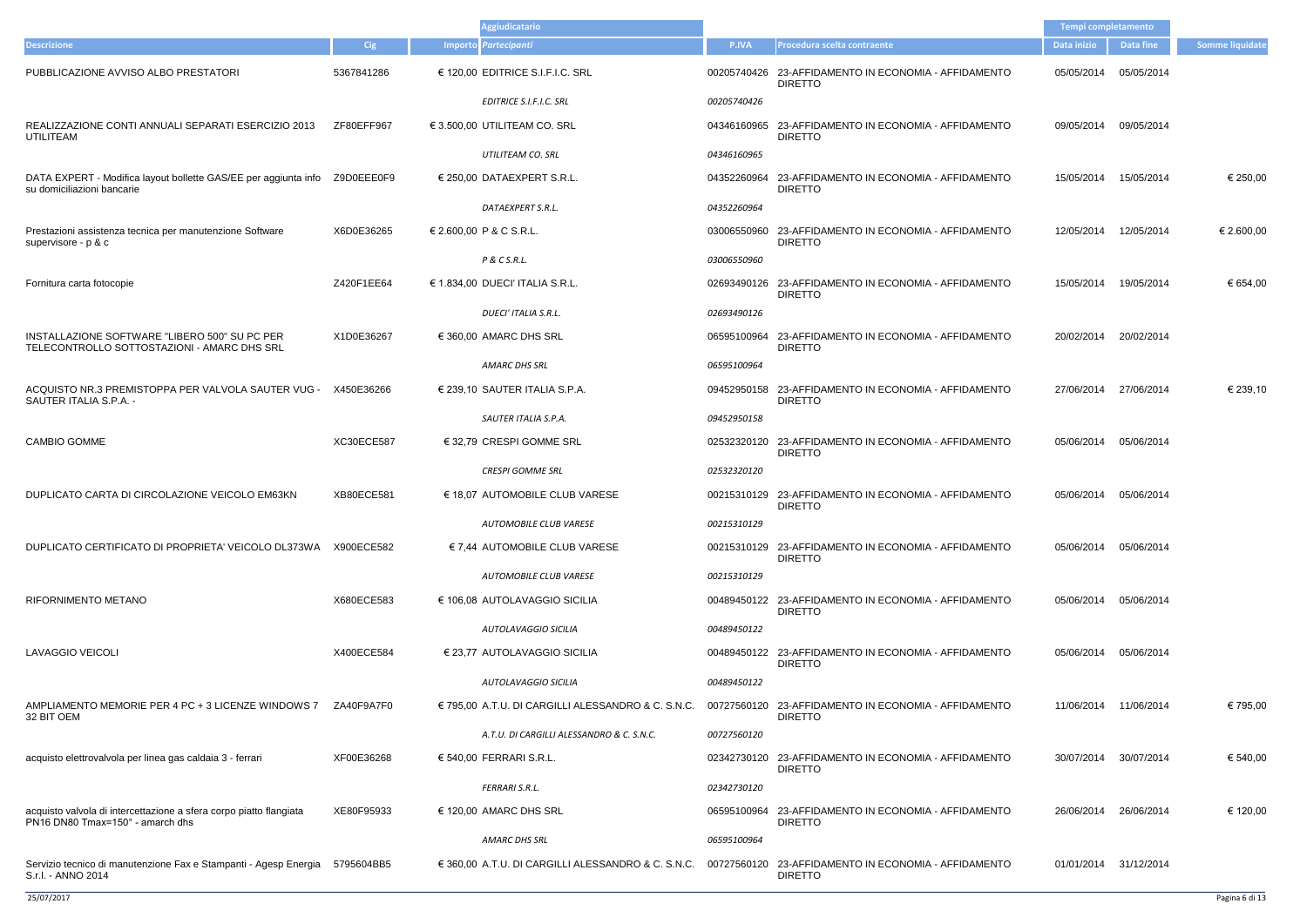| <b>Aggiudicatario</b>                                                                                  |                   |                                  |                                                    |             |                                                                        | Tempi completamento   |                  |                 |
|--------------------------------------------------------------------------------------------------------|-------------------|----------------------------------|----------------------------------------------------|-------------|------------------------------------------------------------------------|-----------------------|------------------|-----------------|
| <b>Descrizione</b>                                                                                     | Cig               | Importo Partecipanti             |                                                    | P.IVA       | Procedura scelta contraente                                            | Data inizio           | <b>Data fine</b> | Somme liquidate |
| PUBBLICAZIONE AVVISO ALBO PRESTATORI                                                                   | 5367841286        | € 120,00 EDITRICE S.I.F.I.C. SRL |                                                    | 00205740426 | 23-AFFIDAMENTO IN ECONOMIA - AFFIDAMENTO<br><b>DIRETTO</b>             | 05/05/2014            | 05/05/2014       |                 |
|                                                                                                        |                   | EDITRICE S.I.F.I.C. SRL          |                                                    | 00205740426 |                                                                        |                       |                  |                 |
| REALIZZAZIONE CONTI ANNUALI SEPARATI ESERCIZIO 2013<br>UTILITEAM                                       | ZF80EFF967        | € 3.500,00 UTILITEAM CO. SRL     |                                                    | 04346160965 | 23-AFFIDAMENTO IN ECONOMIA - AFFIDAMENTO<br><b>DIRETTO</b>             | 09/05/2014            | 09/05/2014       |                 |
|                                                                                                        |                   | UTILITEAM CO. SRL                |                                                    | 04346160965 |                                                                        |                       |                  |                 |
| DATA EXPERT - Modifica layout bollette GAS/EE per aggiunta info<br>su domiciliazioni bancarie          | Z9D0EEE0F9        | € 250,00 DATAEXPERT S.R.L.       |                                                    | 04352260964 | 23-AFFIDAMENTO IN ECONOMIA - AFFIDAMENTO<br><b>DIRETTO</b>             | 15/05/2014            | 15/05/2014       | € 250,00        |
|                                                                                                        |                   | DATAEXPERT S.R.L.                |                                                    | 04352260964 |                                                                        |                       |                  |                 |
| Prestazioni assistenza tecnica per manutenzione Software<br>supervisore - p & c                        | X6D0E36265        | € 2.600,00 P & C S.R.L.          |                                                    | 03006550960 | 23-AFFIDAMENTO IN ECONOMIA - AFFIDAMENTO<br><b>DIRETTO</b>             | 12/05/2014            | 12/05/2014       | € 2.600,00      |
|                                                                                                        |                   | P & C S.R.L.                     |                                                    | 03006550960 |                                                                        |                       |                  |                 |
| Fornitura carta fotocopie                                                                              | Z420F1EE64        | € 1.834,00 DUECI' ITALIA S.R.L.  |                                                    | 02693490126 | 23-AFFIDAMENTO IN ECONOMIA - AFFIDAMENTO<br><b>DIRETTO</b>             | 15/05/2014            | 19/05/2014       | € 654,00        |
|                                                                                                        |                   | DUECI' ITALIA S.R.L.             |                                                    | 02693490126 |                                                                        |                       |                  |                 |
| INSTALLAZIONE SOFTWARE "LIBERO 500" SU PC PER<br>TELECONTROLLO SOTTOSTAZIONI - AMARC DHS SRL           | X1D0E36267        | € 360,00 AMARC DHS SRL           |                                                    | 06595100964 | 23-AFFIDAMENTO IN ECONOMIA - AFFIDAMENTO<br><b>DIRETTO</b>             | 20/02/2014            | 20/02/2014       |                 |
|                                                                                                        |                   | AMARC DHS SRL                    |                                                    | 06595100964 |                                                                        |                       |                  |                 |
| ACQUISTO NR.3 PREMISTOPPA PER VALVOLA SAUTER VUG -<br>SAUTER ITALIA S.P.A. -                           | X450E36266        | € 239,10 SAUTER ITALIA S.P.A.    |                                                    | 09452950158 | 23-AFFIDAMENTO IN ECONOMIA - AFFIDAMENTO<br><b>DIRETTO</b>             | 27/06/2014            | 27/06/2014       | € 239,10        |
|                                                                                                        |                   | SAUTER ITALIA S.P.A.             |                                                    | 09452950158 |                                                                        |                       |                  |                 |
| <b>CAMBIO GOMME</b>                                                                                    | XC30ECE587        | € 32,79 CRESPI GOMME SRL         |                                                    | 02532320120 | 23-AFFIDAMENTO IN ECONOMIA - AFFIDAMENTO<br><b>DIRETTO</b>             | 05/06/2014            | 05/06/2014       |                 |
|                                                                                                        |                   | <b>CRESPI GOMME SRL</b>          |                                                    | 02532320120 |                                                                        |                       |                  |                 |
| DUPLICATO CARTA DI CIRCOLAZIONE VEICOLO EM63KN                                                         | <b>XB80ECE581</b> |                                  | € 18,07 AUTOMOBILE CLUB VARESE                     |             | 00215310129 23-AFFIDAMENTO IN ECONOMIA - AFFIDAMENTO<br><b>DIRETTO</b> | 05/06/2014            | 05/06/2014       |                 |
|                                                                                                        |                   |                                  | AUTOMOBILE CLUB VARESE                             | 00215310129 |                                                                        |                       |                  |                 |
| DUPLICATO CERTIFICATO DI PROPRIETA' VEICOLO DL373WA X900ECE582                                         |                   |                                  | € 7,44 AUTOMOBILE CLUB VARESE                      |             | 00215310129 23-AFFIDAMENTO IN ECONOMIA - AFFIDAMENTO<br><b>DIRETTO</b> | 05/06/2014            | 05/06/2014       |                 |
|                                                                                                        |                   |                                  | AUTOMOBILE CLUB VARESE                             | 00215310129 |                                                                        |                       |                  |                 |
| <b>RIFORNIMENTO METANO</b>                                                                             | X680ECE583        | € 106,08 AUTOLAVAGGIO SICILIA    |                                                    |             | 00489450122 23-AFFIDAMENTO IN ECONOMIA - AFFIDAMENTO<br><b>DIRETTO</b> | 05/06/2014            | 05/06/2014       |                 |
|                                                                                                        |                   |                                  | AUTOLAVAGGIO SICILIA                               | 00489450122 |                                                                        |                       |                  |                 |
| <b>LAVAGGIO VEICOLI</b>                                                                                | X400ECE584        | € 23,77 AUTOLAVAGGIO SICILIA     |                                                    |             | 00489450122 23-AFFIDAMENTO IN ECONOMIA - AFFIDAMENTO<br><b>DIRETTO</b> | 05/06/2014            | 05/06/2014       |                 |
|                                                                                                        |                   |                                  | AUTOLAVAGGIO SICILIA                               | 00489450122 |                                                                        |                       |                  |                 |
| AMPLIAMENTO MEMORIE PER 4 PC + 3 LICENZE WINDOWS 7<br>32 BIT OEM                                       | ZA40F9A7F0        |                                  | € 795,00 A.T.U. DI CARGILLI ALESSANDRO & C. S.N.C. |             | 00727560120 23-AFFIDAMENTO IN ECONOMIA - AFFIDAMENTO<br><b>DIRETTO</b> | 11/06/2014 11/06/2014 |                  | € 795,00        |
|                                                                                                        |                   |                                  | A.T.U. DI CARGILLI ALESSANDRO & C. S.N.C.          | 00727560120 |                                                                        |                       |                  |                 |
| acquisto elettrovalvola per linea gas caldaia 3 - ferrari                                              | XF00E36268        | € 540,00 FERRARI S.R.L.          |                                                    |             | 02342730120 23-AFFIDAMENTO IN ECONOMIA - AFFIDAMENTO<br><b>DIRETTO</b> | 30/07/2014            | 30/07/2014       | € 540,00        |
|                                                                                                        |                   | FERRARI S.R.L.                   |                                                    | 02342730120 |                                                                        |                       |                  |                 |
| acquisto valvola di intercettazione a sfera corpo piatto flangiata<br>PN16 DN80 Tmax=150° - amarch dhs | XE80F95933        | € 120,00 AMARC DHS SRL           |                                                    | 06595100964 | 23-AFFIDAMENTO IN ECONOMIA - AFFIDAMENTO<br><b>DIRETTO</b>             | 26/06/2014            | 26/06/2014       | € 120,00        |
|                                                                                                        |                   | AMARC DHS SRL                    |                                                    | 06595100964 |                                                                        |                       |                  |                 |
| Servizio tecnico di manutenzione Fax e Stampanti - Agesp Energia 5795604BB5<br>S.r.l. - ANNO 2014      |                   |                                  | € 360,00 A.T.U. DI CARGILLI ALESSANDRO & C. S.N.C. |             | 00727560120 23-AFFIDAMENTO IN ECONOMIA - AFFIDAMENTO<br><b>DIRETTO</b> | 01/01/2014 31/12/2014 |                  |                 |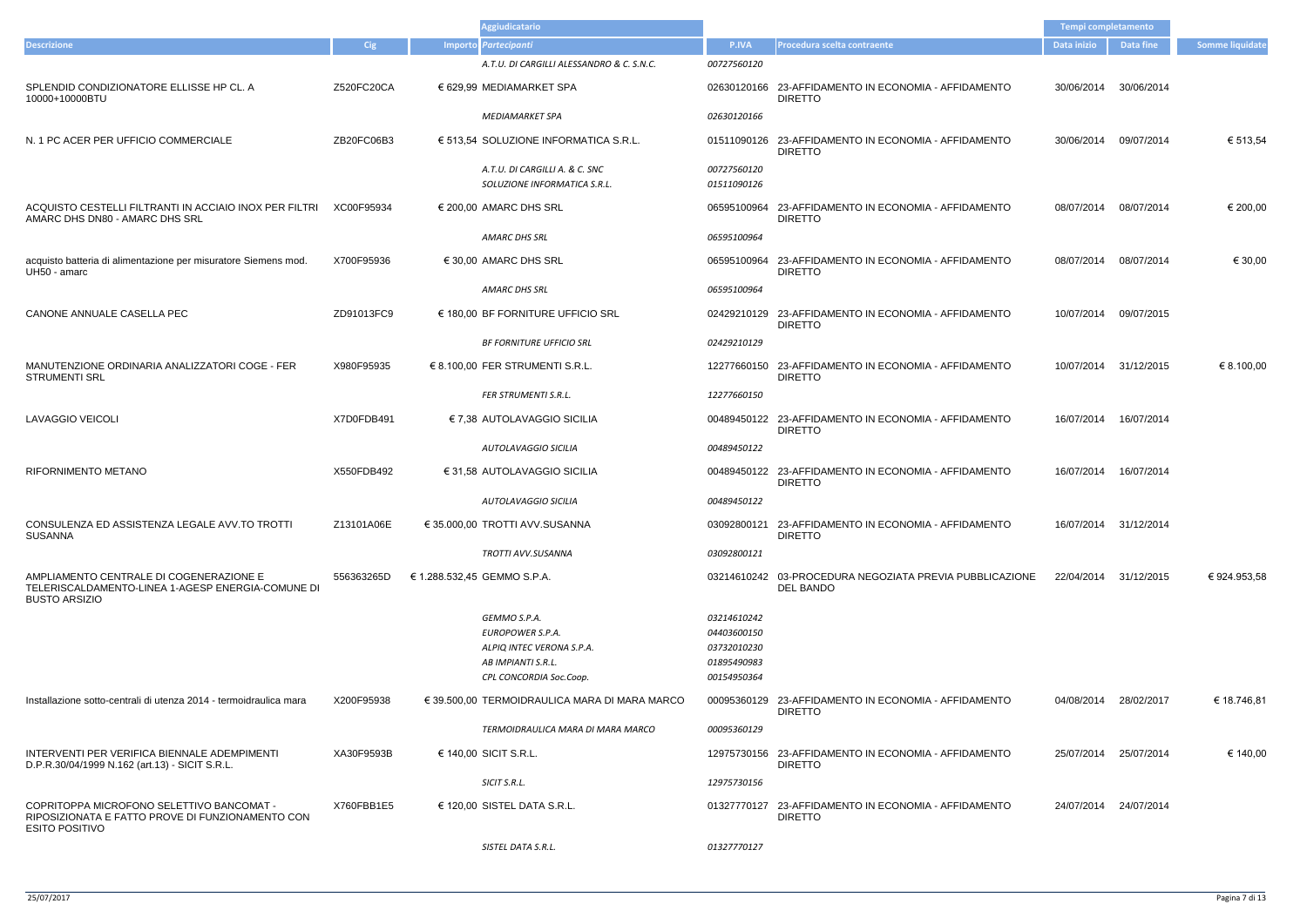|                                                                                                                        |            | <b>Aggiudicatario</b>                                                                                          |                                                                         |                                                                        |             |                       |                 |
|------------------------------------------------------------------------------------------------------------------------|------------|----------------------------------------------------------------------------------------------------------------|-------------------------------------------------------------------------|------------------------------------------------------------------------|-------------|-----------------------|-----------------|
| <b>Descrizione</b>                                                                                                     | Cig        | Importo Partecipanti                                                                                           | P.IVA                                                                   | <b>Procedura scelta contraente</b>                                     | Data inizio | Data fine             | Somme liquidate |
|                                                                                                                        |            | A.T.U. DI CARGILLI ALESSANDRO & C. S.N.C.                                                                      | 00727560120                                                             |                                                                        |             |                       |                 |
| SPLENDID CONDIZIONATORE ELLISSE HP CL. A<br>10000+10000BTU                                                             | Z520FC20CA | € 629,99 MEDIAMARKET SPA                                                                                       |                                                                         | 02630120166 23-AFFIDAMENTO IN ECONOMIA - AFFIDAMENTO<br><b>DIRETTO</b> | 30/06/2014  | 30/06/2014            |                 |
|                                                                                                                        |            | <b>MEDIAMARKET SPA</b>                                                                                         | 02630120166                                                             |                                                                        |             |                       |                 |
| N. 1 PC ACER PER UFFICIO COMMERCIALE                                                                                   | ZB20FC06B3 | € 513,54 SOLUZIONE INFORMATICA S.R.L.                                                                          |                                                                         | 01511090126 23-AFFIDAMENTO IN ECONOMIA - AFFIDAMENTO<br><b>DIRETTO</b> | 30/06/2014  | 09/07/2014            | € 513,54        |
|                                                                                                                        |            | A.T.U. DI CARGILLI A. & C. SNC<br>SOLUZIONE INFORMATICA S.R.L.                                                 | 00727560120<br>01511090126                                              |                                                                        |             |                       |                 |
| ACQUISTO CESTELLI FILTRANTI IN ACCIAIO INOX PER FILTRI<br>AMARC DHS DN80 - AMARC DHS SRL                               | XC00F95934 | $\in$ 200,00 AMARC DHS SRL                                                                                     |                                                                         | 06595100964 23-AFFIDAMENTO IN ECONOMIA - AFFIDAMENTO<br><b>DIRETTO</b> | 08/07/2014  | 08/07/2014            | € 200,00        |
|                                                                                                                        |            | <b>AMARC DHS SRL</b>                                                                                           | 06595100964                                                             |                                                                        |             |                       |                 |
| acquisto batteria di alimentazione per misuratore Siemens mod.<br>UH50 - amarc                                         | X700F95936 | $\in$ 30,00 AMARC DHS SRL                                                                                      |                                                                         | 06595100964 23-AFFIDAMENTO IN ECONOMIA - AFFIDAMENTO<br><b>DIRETTO</b> | 08/07/2014  | 08/07/2014            | € 30,00         |
|                                                                                                                        |            | AMARC DHS SRL                                                                                                  | 06595100964                                                             |                                                                        |             |                       |                 |
| CANONE ANNUALE CASELLA PEC                                                                                             | ZD91013FC9 | $\in$ 180,00 BF FORNITURE UFFICIO SRL                                                                          |                                                                         | 02429210129 23-AFFIDAMENTO IN ECONOMIA - AFFIDAMENTO<br><b>DIRETTO</b> | 10/07/2014  | 09/07/2015            |                 |
|                                                                                                                        |            | <b>BF FORNITURE UFFICIO SRL</b>                                                                                | 02429210129                                                             |                                                                        |             |                       |                 |
| MANUTENZIONE ORDINARIA ANALIZZATORI COGE - FER<br><b>STRUMENTI SRL</b>                                                 | X980F95935 | € 8.100,00 FER STRUMENTI S.R.L.                                                                                |                                                                         | 12277660150 23-AFFIDAMENTO IN ECONOMIA - AFFIDAMENTO<br><b>DIRETTO</b> | 10/07/2014  | 31/12/2015            | € 8.100,00      |
|                                                                                                                        |            | <b>FER STRUMENTI S.R.L.</b>                                                                                    | 12277660150                                                             |                                                                        |             |                       |                 |
| LAVAGGIO VEICOLI                                                                                                       | X7D0FDB491 | € 7,38 AUTOLAVAGGIO SICILIA                                                                                    |                                                                         | 00489450122 23-AFFIDAMENTO IN ECONOMIA - AFFIDAMENTO<br><b>DIRETTO</b> | 16/07/2014  | 16/07/2014            |                 |
|                                                                                                                        |            | AUTOLAVAGGIO SICILIA                                                                                           | 00489450122                                                             |                                                                        |             |                       |                 |
| <b>RIFORNIMENTO METANO</b>                                                                                             | X550FDB492 | € 31,58 AUTOLAVAGGIO SICILIA                                                                                   |                                                                         | 00489450122 23-AFFIDAMENTO IN ECONOMIA - AFFIDAMENTO<br><b>DIRETTO</b> | 16/07/2014  | 16/07/2014            |                 |
|                                                                                                                        |            | AUTOLAVAGGIO SICILIA                                                                                           | 00489450122                                                             |                                                                        |             |                       |                 |
| CONSULENZA ED ASSISTENZA LEGALE AVV.TO TROTTI<br><b>SUSANNA</b>                                                        | Z13101A06E | € 35.000.00 TROTTI AVV.SUSANNA                                                                                 |                                                                         | 03092800121 23-AFFIDAMENTO IN ECONOMIA - AFFIDAMENTO<br><b>DIRETTO</b> |             | 16/07/2014 31/12/2014 |                 |
|                                                                                                                        |            | TROTTI AVV.SUSANNA                                                                                             | 03092800121                                                             |                                                                        |             |                       |                 |
| AMPLIAMENTO CENTRALE DI COGENERAZIONE E<br>TELERISCALDAMENTO-LINEA 1-AGESP ENERGIA-COMUNE DI<br><b>BUSTO ARSIZIO</b>   | 556363265D | € 1.288.532,45 GEMMO S.P.A.                                                                                    |                                                                         | 03214610242 03-PROCEDURA NEGOZIATA PREVIA PUBBLICAZIONE<br>DEL BANDO   |             | 22/04/2014 31/12/2015 | € 924.953,58    |
|                                                                                                                        |            | GEMMO S.P.A.<br>EUROPOWER S.P.A.<br>ALPIO INTEC VERONA S.P.A.<br>AB IMPIANTI S.R.L.<br>CPL CONCORDIA Soc.Coop. | 03214610242<br>04403600150<br>03732010230<br>01895490983<br>00154950364 |                                                                        |             |                       |                 |
| Installazione sotto-centrali di utenza 2014 - termoidraulica mara                                                      | X200F95938 | € 39.500,00 TERMOIDRAULICA MARA DI MARA MARCO                                                                  |                                                                         | 00095360129 23-AFFIDAMENTO IN ECONOMIA - AFFIDAMENTO<br><b>DIRETTO</b> | 04/08/2014  | 28/02/2017            | € 18.746,81     |
|                                                                                                                        |            | TERMOIDRAULICA MARA DI MARA MARCO                                                                              | 00095360129                                                             |                                                                        |             |                       |                 |
| INTERVENTI PER VERIFICA BIENNALE ADEMPIMENTI<br>D.P.R.30/04/1999 N.162 (art.13) - SICIT S.R.L.                         | XA30F9593B | € 140,00 SICIT S.R.L.                                                                                          |                                                                         | 12975730156 23-AFFIDAMENTO IN ECONOMIA - AFFIDAMENTO<br><b>DIRETTO</b> | 25/07/2014  | 25/07/2014            | € 140,00        |
|                                                                                                                        |            | SICIT S.R.L.                                                                                                   | 12975730156                                                             |                                                                        |             |                       |                 |
| COPRITOPPA MICROFONO SELETTIVO BANCOMAT -<br>RIPOSIZIONATA E FATTO PROVE DI FUNZIONAMENTO CON<br><b>ESITO POSITIVO</b> | X760FBB1E5 | € 120,00 SISTEL DATA S.R.L.                                                                                    |                                                                         | 01327770127 23-AFFIDAMENTO IN ECONOMIA - AFFIDAMENTO<br><b>DIRETTO</b> | 24/07/2014  | 24/07/2014            |                 |
|                                                                                                                        |            | SISTEL DATA S.R.L.                                                                                             | 01327770127                                                             |                                                                        |             |                       |                 |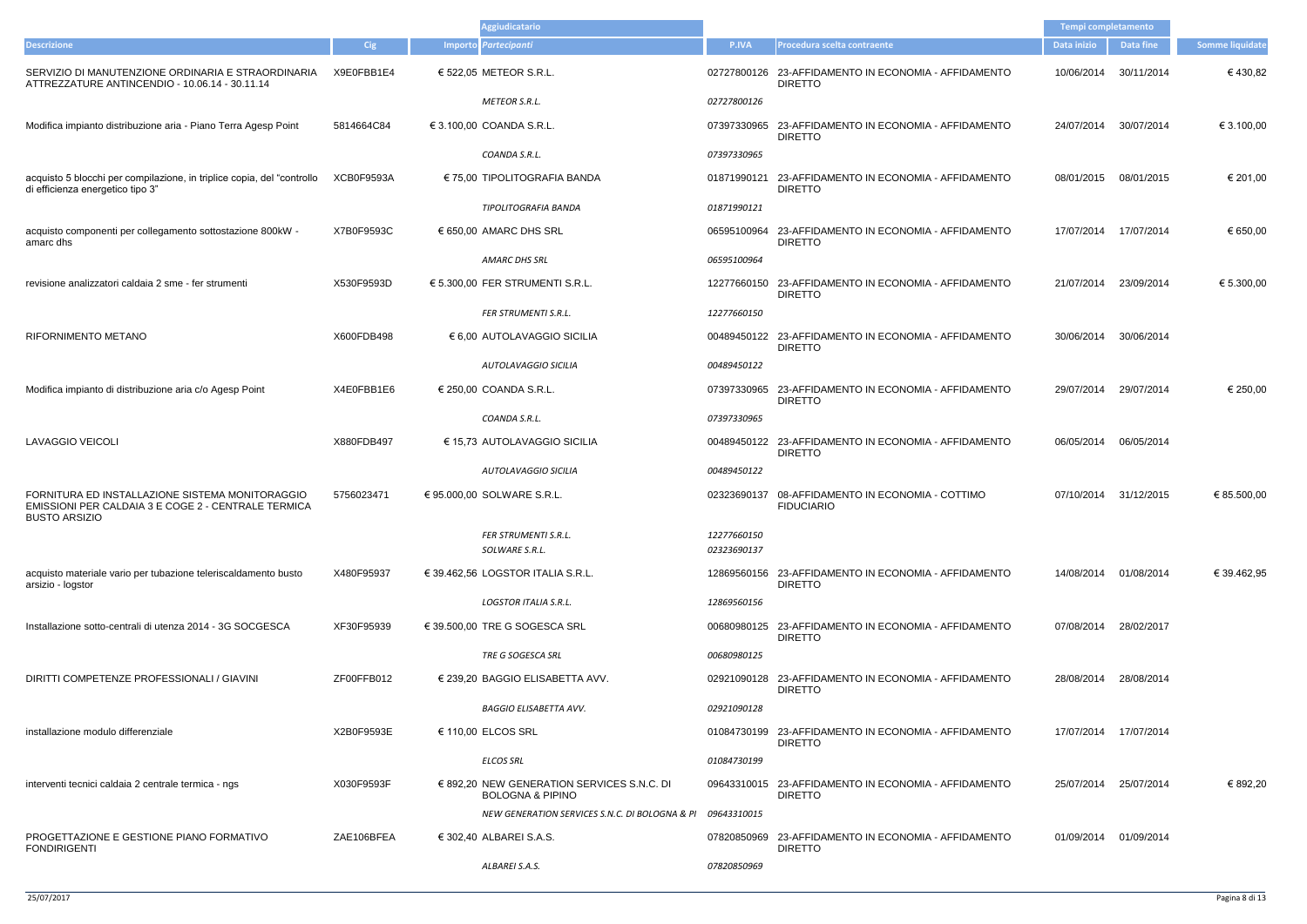|                                                                                                                                |            | <b>Aggiudicatario</b>                                                              |                            |                                                                        | Tempi completamento   |                       |                        |
|--------------------------------------------------------------------------------------------------------------------------------|------------|------------------------------------------------------------------------------------|----------------------------|------------------------------------------------------------------------|-----------------------|-----------------------|------------------------|
| <b>Descrizione</b>                                                                                                             | <b>Cig</b> | Importo Partecipanti                                                               | P.IVA                      | Procedura scelta contraente                                            | Data inizio           | Data fine             | <b>Somme liquidate</b> |
| SERVIZIO DI MANUTENZIONE ORDINARIA E STRAORDINARIA<br>ATTREZZATURE ANTINCENDIO - 10.06.14 - 30.11.14                           | X9E0FBB1E4 | € 522,05 METEOR S.R.L.                                                             |                            | 02727800126 23-AFFIDAMENTO IN ECONOMIA - AFFIDAMENTO<br><b>DIRETTO</b> | 10/06/2014            | 30/11/2014            | €430,82                |
|                                                                                                                                |            | METEOR S.R.L.                                                                      | 02727800126                |                                                                        |                       |                       |                        |
| Modifica impianto distribuzione aria - Piano Terra Agesp Point                                                                 | 5814664C84 | € 3.100,00 COANDA S.R.L.                                                           |                            | 07397330965 23-AFFIDAMENTO IN ECONOMIA - AFFIDAMENTO<br><b>DIRETTO</b> | 24/07/2014            | 30/07/2014            | € 3.100,00             |
|                                                                                                                                |            | COANDA S.R.L.                                                                      | 07397330965                |                                                                        |                       |                       |                        |
| acquisto 5 blocchi per compilazione, in triplice copia, del "controllo<br>di efficienza energetico tipo 3"                     | XCB0F9593A | € 75,00 TIPOLITOGRAFIA BANDA                                                       |                            | 01871990121 23-AFFIDAMENTO IN ECONOMIA - AFFIDAMENTO<br><b>DIRETTO</b> | 08/01/2015            | 08/01/2015            | € 201,00               |
|                                                                                                                                |            | TIPOLITOGRAFIA BANDA                                                               | 01871990121                |                                                                        |                       |                       |                        |
| acquisto componenti per collegamento sottostazione 800kW -<br>amarc dhs                                                        | X7B0F9593C | € 650,00 AMARC DHS SRL                                                             |                            | 06595100964 23-AFFIDAMENTO IN ECONOMIA - AFFIDAMENTO<br><b>DIRETTO</b> | 17/07/2014            | 17/07/2014            | € 650,00               |
|                                                                                                                                |            | <b>AMARC DHS SRL</b>                                                               | 06595100964                |                                                                        |                       |                       |                        |
| revisione analizzatori caldaia 2 sme - fer strumenti                                                                           | X530F9593D | € 5.300,00 FER STRUMENTI S.R.L.                                                    |                            | 12277660150 23-AFFIDAMENTO IN ECONOMIA - AFFIDAMENTO<br><b>DIRETTO</b> | 21/07/2014            | 23/09/2014            | € 5.300,00             |
|                                                                                                                                |            | FER STRUMENTI S.R.L.                                                               | 12277660150                |                                                                        |                       |                       |                        |
| <b>RIFORNIMENTO METANO</b>                                                                                                     | X600FDB498 | € 6,00 AUTOLAVAGGIO SICILIA                                                        |                            | 00489450122 23-AFFIDAMENTO IN ECONOMIA - AFFIDAMENTO<br><b>DIRETTO</b> | 30/06/2014            | 30/06/2014            |                        |
|                                                                                                                                |            | AUTOLAVAGGIO SICILIA                                                               | 00489450122                |                                                                        |                       |                       |                        |
| Modifica impianto di distribuzione aria c/o Agesp Point                                                                        | X4E0FBB1E6 | € 250,00 COANDA S.R.L.                                                             |                            | 07397330965 23-AFFIDAMENTO IN ECONOMIA - AFFIDAMENTO<br><b>DIRETTO</b> | 29/07/2014            | 29/07/2014            | € 250,00               |
|                                                                                                                                |            | COANDA S.R.L.                                                                      | 07397330965                |                                                                        |                       |                       |                        |
| <b>LAVAGGIO VEICOLI</b>                                                                                                        | X880FDB497 | € 15,73 AUTOLAVAGGIO SICILIA                                                       |                            | 00489450122 23-AFFIDAMENTO IN ECONOMIA - AFFIDAMENTO<br><b>DIRETTO</b> | 06/05/2014            | 06/05/2014            |                        |
|                                                                                                                                |            | AUTOLAVAGGIO SICILIA                                                               | 00489450122                |                                                                        |                       |                       |                        |
| FORNITURA ED INSTALLAZIONE SISTEMA MONITORAGGIO<br>EMISSIONI PER CALDAIA 3 E COGE 2 - CENTRALE TERMICA<br><b>BUSTO ARSIZIO</b> | 5756023471 | € 95.000,00 SOLWARE S.R.L.                                                         |                            | 02323690137 08-AFFIDAMENTO IN ECONOMIA - COTTIMO<br><b>FIDUCIARIO</b>  | 07/10/2014            | 31/12/2015            | € 85.500,00            |
|                                                                                                                                |            | <b>FER STRUMENTI S.R.L.</b><br>SOLWARE S.R.L.                                      | 12277660150<br>02323690137 |                                                                        |                       |                       |                        |
|                                                                                                                                |            |                                                                                    |                            |                                                                        |                       |                       | € 39.462.95            |
| acquisto materiale vario per tubazione teleriscaldamento busto<br>arsizio - logstor                                            | X480F95937 | € 39.462,56 LOGSTOR ITALIA S.R.L.                                                  |                            | 12869560156 23-AFFIDAMENTO IN ECONOMIA - AFFIDAMENTO<br><b>DIRETTO</b> | 14/08/2014            | 01/08/2014            |                        |
|                                                                                                                                |            | <b>LOGSTOR ITALIA S.R.L.</b>                                                       | 12869560156                |                                                                        |                       |                       |                        |
| Installazione sotto-centrali di utenza 2014 - 3G SOCGESCA                                                                      | XF30F95939 | $\epsilon$ 39.500,00 TRE G SOGESCA SRL                                             |                            | 00680980125 23-AFFIDAMENTO IN ECONOMIA - AFFIDAMENTO<br><b>DIRETTO</b> | 07/08/2014            | 28/02/2017            |                        |
|                                                                                                                                |            | TRE G SOGESCA SRL                                                                  | 00680980125                |                                                                        |                       |                       |                        |
| DIRITTI COMPETENZE PROFESSIONALI / GIAVINI                                                                                     | ZF00FFB012 | $\in$ 239,20 BAGGIO ELISABETTA AVV.                                                |                            | 02921090128 23-AFFIDAMENTO IN ECONOMIA - AFFIDAMENTO<br><b>DIRETTO</b> | 28/08/2014            | 28/08/2014            |                        |
|                                                                                                                                |            | <b>BAGGIO ELISABETTA AVV.</b>                                                      | 02921090128                |                                                                        |                       |                       |                        |
| installazione modulo differenziale                                                                                             | X2B0F9593E | € 110,00 ELCOS SRL                                                                 |                            | 01084730199 23-AFFIDAMENTO IN ECONOMIA - AFFIDAMENTO<br><b>DIRETTO</b> |                       | 17/07/2014 17/07/2014 |                        |
|                                                                                                                                |            | <b>ELCOS SRL</b>                                                                   | 01084730199                |                                                                        |                       |                       |                        |
| interventi tecnici caldaia 2 centrale termica - ngs                                                                            | X030F9593F | $\epsilon$ 892,20 NEW GENERATION SERVICES S.N.C. DI<br><b>BOLOGNA &amp; PIPINO</b> |                            | 09643310015 23-AFFIDAMENTO IN ECONOMIA - AFFIDAMENTO<br><b>DIRETTO</b> | 25/07/2014            | 25/07/2014            | € 892,20               |
|                                                                                                                                |            | NEW GENERATION SERVICES S.N.C. DI BOLOGNA & PI                                     | 09643310015                |                                                                        |                       |                       |                        |
| PROGETTAZIONE E GESTIONE PIANO FORMATIVO<br><b>FONDIRIGENTI</b>                                                                | ZAE106BFEA | € 302,40 ALBAREI S.A.S.                                                            |                            | 07820850969 23-AFFIDAMENTO IN ECONOMIA - AFFIDAMENTO<br><b>DIRETTO</b> | 01/09/2014 01/09/2014 |                       |                        |
|                                                                                                                                |            | ALBAREI S.A.S.                                                                     | 07820850969                |                                                                        |                       |                       |                        |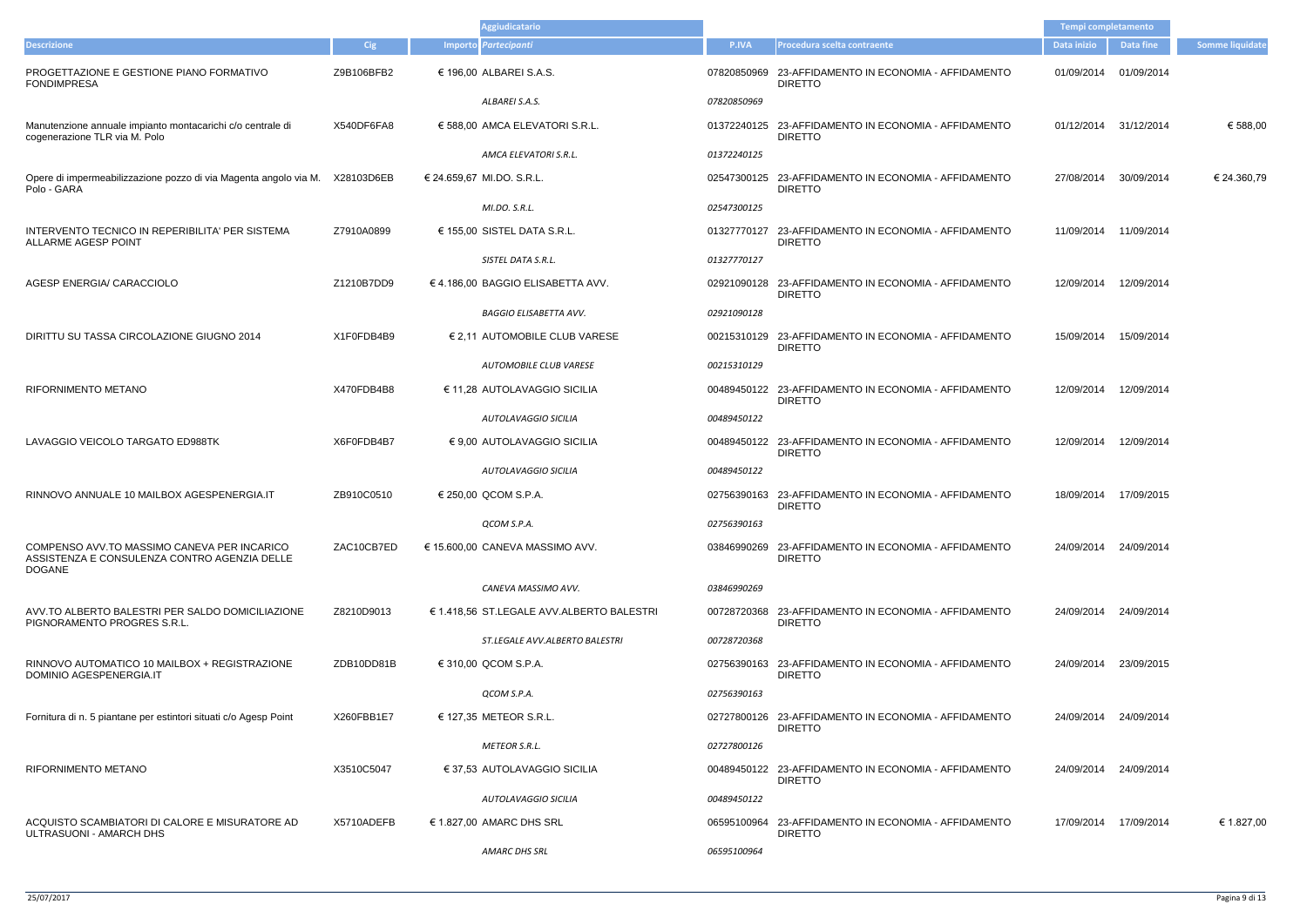|                                                                                                               |            | <b>Aggiudicatario</b>                     |             |                                                                        | Tempi completamento |                       |                        |
|---------------------------------------------------------------------------------------------------------------|------------|-------------------------------------------|-------------|------------------------------------------------------------------------|---------------------|-----------------------|------------------------|
| <b>Descrizione</b>                                                                                            | Cig        | Importo Partecipanti                      | P.IVA       | Procedura scelta contraente                                            | Data inizio         | <b>Data fine</b>      | <b>Somme liquidate</b> |
| PROGETTAZIONE E GESTIONE PIANO FORMATIVO<br><b>FONDIMPRESA</b>                                                | Z9B106BFB2 | € 196,00 ALBAREI S.A.S.                   |             | 07820850969 23-AFFIDAMENTO IN ECONOMIA - AFFIDAMENTO<br><b>DIRETTO</b> | 01/09/2014          | 01/09/2014            |                        |
|                                                                                                               |            | ALBAREI S.A.S.                            | 07820850969 |                                                                        |                     |                       |                        |
| Manutenzione annuale impianto montacarichi c/o centrale di<br>cogenerazione TLR via M. Polo                   | X540DF6FA8 | € 588,00 AMCA ELEVATORI S.R.L.            |             | 01372240125 23-AFFIDAMENTO IN ECONOMIA - AFFIDAMENTO<br><b>DIRETTO</b> | 01/12/2014          | 31/12/2014            | € 588,00               |
|                                                                                                               |            | AMCA ELEVATORI S.R.L.                     | 01372240125 |                                                                        |                     |                       |                        |
| Opere di impermeabilizzazione pozzo di via Magenta angolo via M. X28103D6EB<br>Polo - GARA                    |            | € 24.659,67 MI.DO. S.R.L.                 |             | 02547300125 23-AFFIDAMENTO IN ECONOMIA - AFFIDAMENTO<br><b>DIRETTO</b> | 27/08/2014          | 30/09/2014            | € 24.360,79            |
|                                                                                                               |            | MI.DO. S.R.L.                             | 02547300125 |                                                                        |                     |                       |                        |
| INTERVENTO TECNICO IN REPERIBILITA' PER SISTEMA<br>ALLARME AGESP POINT                                        | Z7910A0899 | € 155,00 SISTEL DATA S.R.L.               |             | 01327770127 23-AFFIDAMENTO IN ECONOMIA - AFFIDAMENTO<br><b>DIRETTO</b> | 11/09/2014          | 11/09/2014            |                        |
|                                                                                                               |            | SISTEL DATA S.R.L.                        | 01327770127 |                                                                        |                     |                       |                        |
| AGESP ENERGIA/ CARACCIOLO                                                                                     | Z1210B7DD9 | €4.186,00 BAGGIO ELISABETTA AVV.          |             | 02921090128 23-AFFIDAMENTO IN ECONOMIA - AFFIDAMENTO<br><b>DIRETTO</b> | 12/09/2014          | 12/09/2014            |                        |
|                                                                                                               |            | <b>BAGGIO ELISABETTA AVV.</b>             | 02921090128 |                                                                        |                     |                       |                        |
| DIRITTU SU TASSA CIRCOLAZIONE GIUGNO 2014                                                                     | X1F0FDB4B9 | € 2,11 AUTOMOBILE CLUB VARESE             |             | 00215310129 23-AFFIDAMENTO IN ECONOMIA - AFFIDAMENTO<br><b>DIRETTO</b> | 15/09/2014          | 15/09/2014            |                        |
|                                                                                                               |            | AUTOMOBILE CLUB VARESE                    | 00215310129 |                                                                        |                     |                       |                        |
| <b>RIFORNIMENTO METANO</b>                                                                                    | X470FDB4B8 | € 11,28 AUTOLAVAGGIO SICILIA              |             | 00489450122 23-AFFIDAMENTO IN ECONOMIA - AFFIDAMENTO<br><b>DIRETTO</b> | 12/09/2014          | 12/09/2014            |                        |
|                                                                                                               |            | AUTOLAVAGGIO SICILIA                      | 00489450122 |                                                                        |                     |                       |                        |
| LAVAGGIO VEICOLO TARGATO ED988TK                                                                              | X6F0FDB4B7 | € 9,00 AUTOLAVAGGIO SICILIA               |             | 00489450122 23-AFFIDAMENTO IN ECONOMIA - AFFIDAMENTO<br><b>DIRETTO</b> | 12/09/2014          | 12/09/2014            |                        |
|                                                                                                               |            | AUTOLAVAGGIO SICILIA                      | 00489450122 |                                                                        |                     |                       |                        |
| RINNOVO ANNUALE 10 MAILBOX AGESPENERGIA.IT                                                                    | ZB910C0510 | € 250,00 QCOM S.P.A.                      |             | 02756390163 23-AFFIDAMENTO IN ECONOMIA - AFFIDAMENTO<br><b>DIRETTO</b> |                     | 18/09/2014 17/09/2015 |                        |
|                                                                                                               |            | QCOM S.P.A.                               | 02756390163 |                                                                        |                     |                       |                        |
| COMPENSO AVV. TO MASSIMO CANEVA PER INCARICO<br>ASSISTENZA E CONSULENZA CONTRO AGENZIA DELLE<br><b>DOGANE</b> | ZAC10CB7ED | € 15.600,00 CANEVA MASSIMO AVV.           |             | 03846990269 23-AFFIDAMENTO IN ECONOMIA - AFFIDAMENTO<br><b>DIRETTO</b> |                     | 24/09/2014 24/09/2014 |                        |
|                                                                                                               |            | CANEVA MASSIMO AVV.                       | 03846990269 |                                                                        |                     |                       |                        |
| AVV.TO ALBERTO BALESTRI PER SALDO DOMICILIAZIONE<br>PIGNORAMENTO PROGRES S.R.L.                               | Z8210D9013 | € 1.418,56 ST.LEGALE AVV.ALBERTO BALESTRI |             | 00728720368 23-AFFIDAMENTO IN ECONOMIA - AFFIDAMENTO<br><b>DIRETTO</b> |                     | 24/09/2014 24/09/2014 |                        |
|                                                                                                               |            | ST.LEGALE AVV.ALBERTO BALESTRI            | 00728720368 |                                                                        |                     |                       |                        |
| RINNOVO AUTOMATICO 10 MAILBOX + REGISTRAZIONE<br>DOMINIO AGESPENERGIA.IT                                      | ZDB10DD81B | € 310,00 QCOM S.P.A.                      |             | 02756390163 23-AFFIDAMENTO IN ECONOMIA - AFFIDAMENTO<br><b>DIRETTO</b> | 24/09/2014          | 23/09/2015            |                        |
|                                                                                                               |            | QCOM S.P.A.                               | 02756390163 |                                                                        |                     |                       |                        |
| Fornitura di n. 5 piantane per estintori situati c/o Agesp Point                                              | X260FBB1E7 | € 127,35 METEOR S.R.L.                    |             | 02727800126 23-AFFIDAMENTO IN ECONOMIA - AFFIDAMENTO<br><b>DIRETTO</b> |                     | 24/09/2014 24/09/2014 |                        |
|                                                                                                               |            | <b>METEOR S.R.L.</b>                      | 02727800126 |                                                                        |                     |                       |                        |
| <b>RIFORNIMENTO METANO</b>                                                                                    | X3510C5047 | € 37,53 AUTOLAVAGGIO SICILIA              |             | 00489450122 23-AFFIDAMENTO IN ECONOMIA - AFFIDAMENTO<br><b>DIRETTO</b> |                     | 24/09/2014 24/09/2014 |                        |
|                                                                                                               |            | AUTOLAVAGGIO SICILIA                      | 00489450122 |                                                                        |                     |                       |                        |
| ACQUISTO SCAMBIATORI DI CALORE E MISURATORE AD<br>ULTRASUONI - AMARCH DHS                                     | X5710ADEFB | € 1.827,00 AMARC DHS SRL                  |             | 06595100964 23-AFFIDAMENTO IN ECONOMIA - AFFIDAMENTO<br><b>DIRETTO</b> |                     | 17/09/2014 17/09/2014 | € 1.827,00             |
|                                                                                                               |            | AMARC DHS SRL                             | 06595100964 |                                                                        |                     |                       |                        |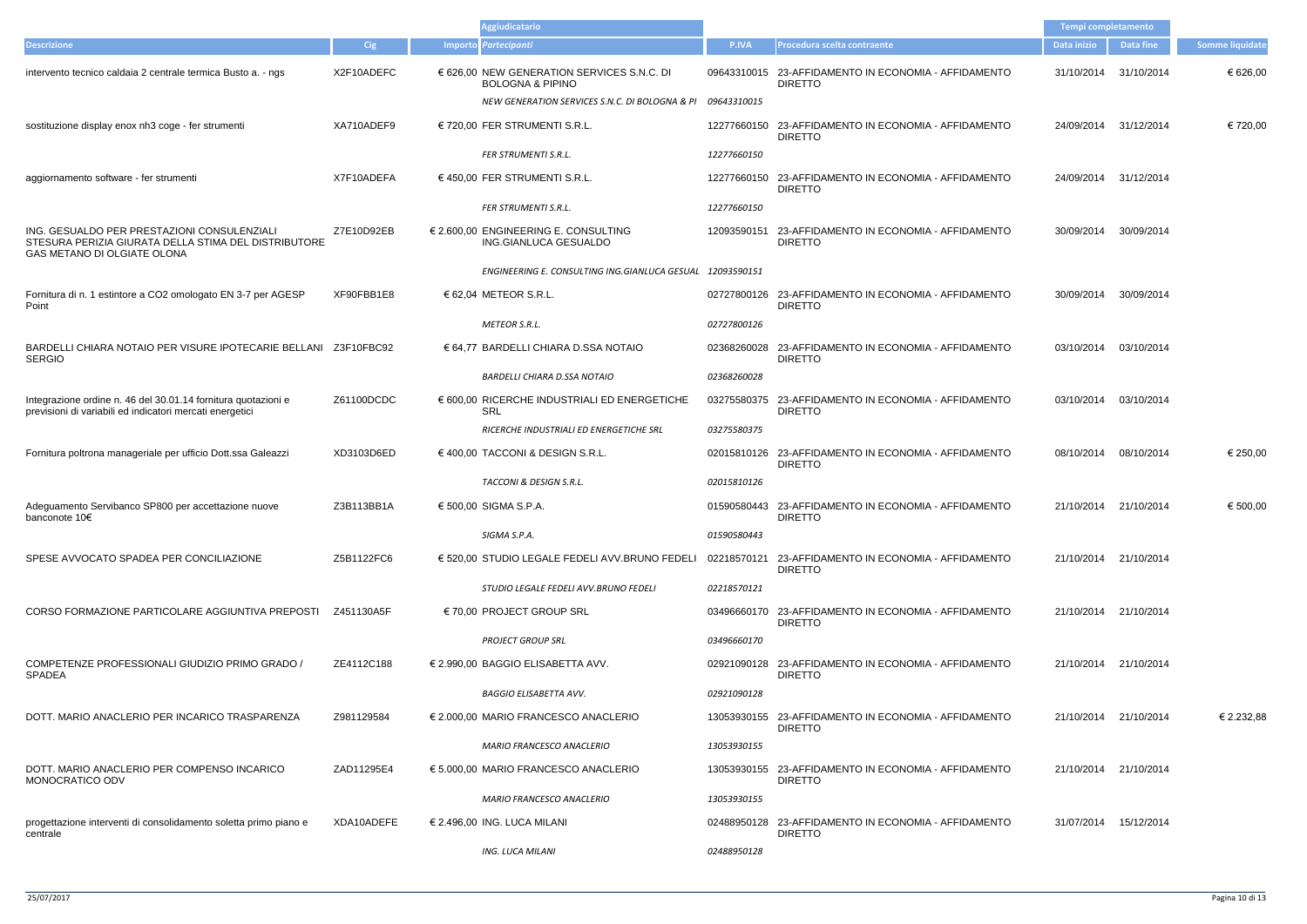|                                                                                                                                    |            | Aggiudicatario                                                            |             |                                                                        | <b>Tempi completamento</b> |                  |                        |
|------------------------------------------------------------------------------------------------------------------------------------|------------|---------------------------------------------------------------------------|-------------|------------------------------------------------------------------------|----------------------------|------------------|------------------------|
| <b>Descrizione</b>                                                                                                                 | Cig        | Importo Partecipanti                                                      | P.IVA       | Procedura scelta contraente                                            | Data inizio                | <b>Data fine</b> | <b>Somme liquidate</b> |
| intervento tecnico caldaia 2 centrale termica Busto a. - ngs                                                                       | X2F10ADEFC | € 626,00 NEW GENERATION SERVICES S.N.C. DI<br><b>BOLOGNA &amp; PIPINO</b> |             | 09643310015 23-AFFIDAMENTO IN ECONOMIA - AFFIDAMENTO<br><b>DIRETTO</b> | 31/10/2014                 | 31/10/2014       | € 626,00               |
|                                                                                                                                    |            | NEW GENERATION SERVICES S.N.C. DI BOLOGNA & PI 09643310015                |             |                                                                        |                            |                  |                        |
| sostituzione display enox nh3 coge - fer strumenti                                                                                 | XA710ADEF9 | € 720,00 FER STRUMENTI S.R.L.                                             |             | 12277660150 23-AFFIDAMENTO IN ECONOMIA - AFFIDAMENTO<br><b>DIRETTO</b> | 24/09/2014 31/12/2014      |                  | € 720,00               |
|                                                                                                                                    |            | FER STRUMENTI S.R.L.                                                      | 12277660150 |                                                                        |                            |                  |                        |
| aggiornamento software - fer strumenti                                                                                             | X7F10ADEFA | € 450,00 FER STRUMENTI S.R.L.                                             |             | 12277660150 23-AFFIDAMENTO IN ECONOMIA - AFFIDAMENTO<br><b>DIRETTO</b> | 24/09/2014 31/12/2014      |                  |                        |
|                                                                                                                                    |            | <b>FER STRUMENTI S.R.L.</b>                                               | 12277660150 |                                                                        |                            |                  |                        |
| ING. GESUALDO PER PRESTAZIONI CONSULENZIALI<br>STESURA PERIZIA GIURATA DELLA STIMA DEL DISTRIBUTORE<br>GAS METANO DI OLGIATE OLONA | Z7E10D92EB | € 2.600,00 ENGINEERING E. CONSULTING<br>ING.GIANLUCA GESUALDO             |             | 12093590151 23-AFFIDAMENTO IN ECONOMIA - AFFIDAMENTO<br><b>DIRETTO</b> | 30/09/2014                 | 30/09/2014       |                        |
|                                                                                                                                    |            | ENGINEERING E. CONSULTING ING.GIANLUCA GESUAL 12093590151                 |             |                                                                        |                            |                  |                        |
| Fornitura di n. 1 estintore a CO2 omologato EN 3-7 per AGESP<br>Point                                                              | XF90FBB1E8 | $62,04$ METEOR S.R.L.                                                     |             | 02727800126 23-AFFIDAMENTO IN ECONOMIA - AFFIDAMENTO<br><b>DIRETTO</b> | 30/09/2014                 | 30/09/2014       |                        |
|                                                                                                                                    |            | <b>METEOR S.R.L.</b>                                                      | 02727800126 |                                                                        |                            |                  |                        |
| BARDELLI CHIARA NOTAIO PER VISURE IPOTECARIE BELLANI Z3F10FBC92<br><b>SERGIO</b>                                                   |            | € 64,77 BARDELLI CHIARA D.SSA NOTAIO                                      | 02368260028 | 23-AFFIDAMENTO IN ECONOMIA - AFFIDAMENTO<br><b>DIRETTO</b>             | 03/10/2014                 | 03/10/2014       |                        |
|                                                                                                                                    |            | <b>BARDELLI CHIARA D.SSA NOTAIO</b>                                       | 02368260028 |                                                                        |                            |                  |                        |
| Integrazione ordine n. 46 del 30.01.14 fornitura quotazioni e<br>previsioni di variabili ed indicatori mercati energetici          | Z61100DCDC | € 600,00 RICERCHE INDUSTRIALI ED ENERGETICHE<br>SRL                       |             | 03275580375 23-AFFIDAMENTO IN ECONOMIA - AFFIDAMENTO<br><b>DIRETTO</b> | 03/10/2014                 | 03/10/2014       |                        |
|                                                                                                                                    |            | RICERCHE INDUSTRIALI ED ENERGETICHE SRL                                   | 03275580375 |                                                                        |                            |                  |                        |
| Fornitura poltrona manageriale per ufficio Dott.ssa Galeazzi                                                                       | XD3103D6ED | € 400,00 TACCONI & DESIGN S.R.L.                                          |             | 02015810126 23-AFFIDAMENTO IN ECONOMIA - AFFIDAMENTO<br><b>DIRETTO</b> | 08/10/2014                 | 08/10/2014       | € 250,00               |
|                                                                                                                                    |            | TACCONI & DESIGN S.R.L.                                                   | 02015810126 |                                                                        |                            |                  |                        |
| Adeguamento Servibanco SP800 per accettazione nuove<br>banconote 10€                                                               | Z3B113BB1A | € 500,00 SIGMA S.P.A.                                                     |             | 01590580443 23-AFFIDAMENTO IN ECONOMIA - AFFIDAMENTO<br><b>DIRETTO</b> | 21/10/2014 21/10/2014      |                  | € 500,00               |
|                                                                                                                                    |            | SIGMA S.P.A.                                                              | 01590580443 |                                                                        |                            |                  |                        |
| SPESE AVVOCATO SPADEA PER CONCILIAZIONE                                                                                            | Z5B1122FC6 | € 520,00 STUDIO LEGALE FEDELI AVV.BRUNO FEDELI                            | 02218570121 | 23-AFFIDAMENTO IN ECONOMIA - AFFIDAMENTO<br><b>DIRETTO</b>             | 21/10/2014                 | 21/10/2014       |                        |
|                                                                                                                                    |            | STUDIO LEGALE FEDELI AVV.BRUNO FEDELI                                     | 02218570121 |                                                                        |                            |                  |                        |
| CORSO FORMAZIONE PARTICOLARE AGGIUNTIVA PREPOSTI                                                                                   | Z451130A5F | $\in$ 70,00 PROJECT GROUP SRL                                             |             | 03496660170 23-AFFIDAMENTO IN ECONOMIA - AFFIDAMENTO<br><b>DIRETTO</b> | 21/10/2014                 | 21/10/2014       |                        |
|                                                                                                                                    |            | <b>PROJECT GROUP SRL</b>                                                  | 03496660170 |                                                                        |                            |                  |                        |
| COMPETENZE PROFESSIONALI GIUDIZIO PRIMO GRADO /<br><b>SPADEA</b>                                                                   | ZE4112C188 | € 2.990,00 BAGGIO ELISABETTA AVV.                                         |             | 02921090128 23-AFFIDAMENTO IN ECONOMIA - AFFIDAMENTO<br><b>DIRETTO</b> | 21/10/2014                 | 21/10/2014       |                        |
|                                                                                                                                    |            | <b>BAGGIO ELISABETTA AVV.</b>                                             | 02921090128 |                                                                        |                            |                  |                        |
| DOTT. MARIO ANACLERIO PER INCARICO TRASPARENZA                                                                                     | Z981129584 | € 2.000,00 MARIO FRANCESCO ANACLERIO                                      |             | 13053930155 23-AFFIDAMENTO IN ECONOMIA - AFFIDAMENTO<br><b>DIRETTO</b> | 21/10/2014                 | 21/10/2014       | € 2.232,88             |
|                                                                                                                                    |            | MARIO FRANCESCO ANACLERIO                                                 | 13053930155 |                                                                        |                            |                  |                        |
| DOTT. MARIO ANACLERIO PER COMPENSO INCARICO<br>MONOCRATICO ODV                                                                     | ZAD11295E4 | € 5.000,00 MARIO FRANCESCO ANACLERIO                                      |             | 13053930155 23-AFFIDAMENTO IN ECONOMIA - AFFIDAMENTO<br><b>DIRETTO</b> | 21/10/2014                 | 21/10/2014       |                        |
|                                                                                                                                    |            | MARIO FRANCESCO ANACLERIO                                                 | 13053930155 |                                                                        |                            |                  |                        |
| progettazione interventi di consolidamento soletta primo piano e<br>centrale                                                       | XDA10ADEFE | $\in$ 2.496,00 ING. LUCA MILANI                                           |             | 02488950128 23-AFFIDAMENTO IN ECONOMIA - AFFIDAMENTO<br><b>DIRETTO</b> | 31/07/2014                 | 15/12/2014       |                        |
|                                                                                                                                    |            | <b>ING. LUCA MILANI</b>                                                   | 02488950128 |                                                                        |                            |                  |                        |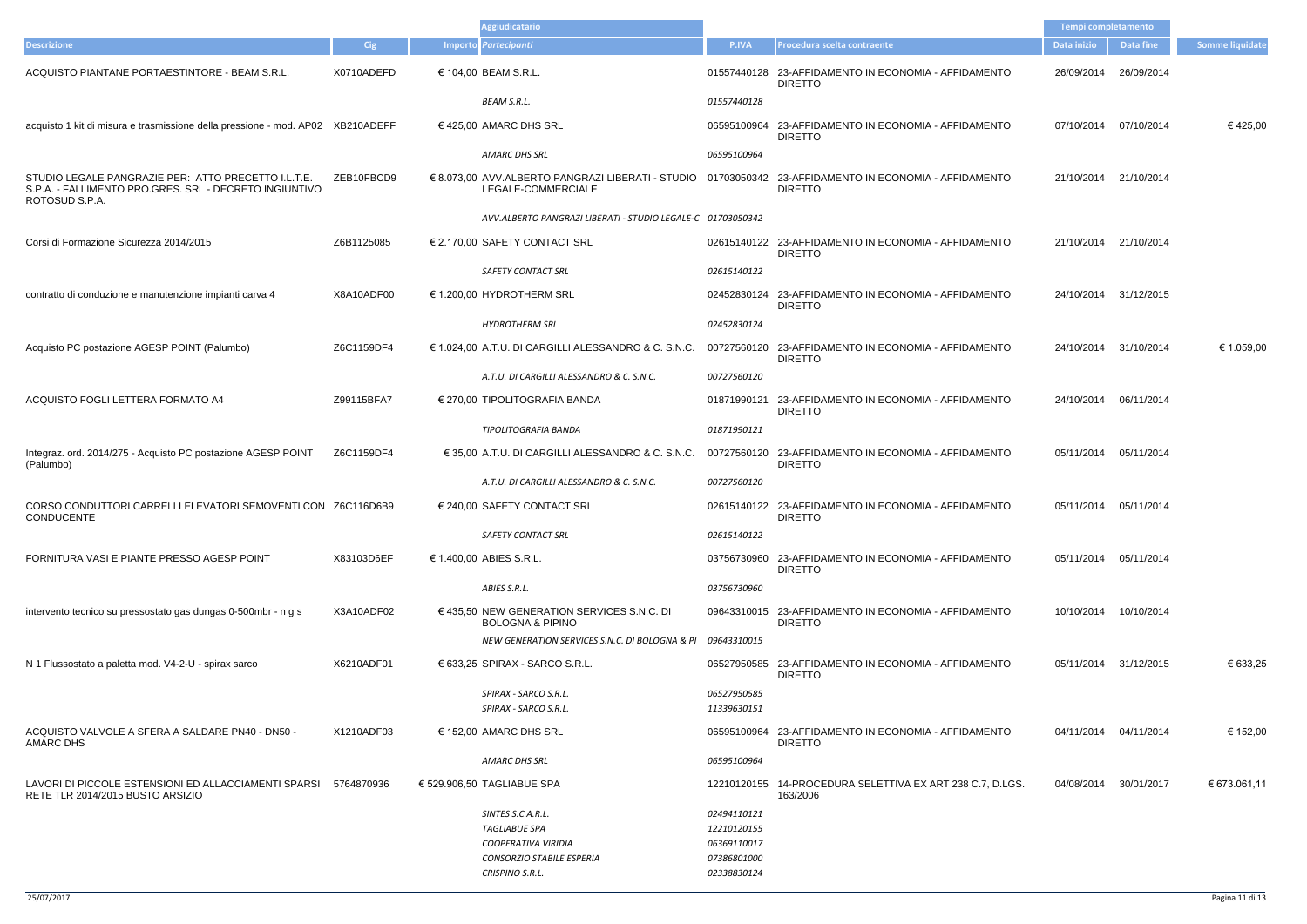|                                                                                                                                 |            | <b>Aggiudicatario</b>                                                         |                            |                                                                                                                          | Tempi completamento |                       |                        |
|---------------------------------------------------------------------------------------------------------------------------------|------------|-------------------------------------------------------------------------------|----------------------------|--------------------------------------------------------------------------------------------------------------------------|---------------------|-----------------------|------------------------|
| <b>Descrizione</b>                                                                                                              | <b>Cig</b> | Importo Partecipanti                                                          | P.IVA                      | Procedura scelta contraente                                                                                              | Data inizio         | Data fine             | <b>Somme liquidate</b> |
| ACQUISTO PIANTANE PORTAESTINTORE - BEAM S.R.L.                                                                                  | X0710ADEFD | € 104,00 BEAM S.R.L.                                                          |                            | 01557440128 23-AFFIDAMENTO IN ECONOMIA - AFFIDAMENTO<br><b>DIRETTO</b>                                                   | 26/09/2014          | 26/09/2014            |                        |
|                                                                                                                                 |            | <b>BEAM S.R.L.</b>                                                            | 01557440128                |                                                                                                                          |                     |                       |                        |
| acquisto 1 kit di misura e trasmissione della pressione - mod. AP02 XB210ADEFF                                                  |            | € 425,00 AMARC DHS SRL                                                        |                            | 06595100964 23-AFFIDAMENTO IN ECONOMIA - AFFIDAMENTO<br><b>DIRETTO</b>                                                   | 07/10/2014          | 07/10/2014            | €425,00                |
|                                                                                                                                 |            | <b>AMARC DHS SRL</b>                                                          | 06595100964                |                                                                                                                          |                     |                       |                        |
| STUDIO LEGALE PANGRAZIE PER: ATTO PRECETTO I.L.T.E.<br>S.P.A. - FALLIMENTO PRO.GRES. SRL - DECRETO INGIUNTIVO<br>ROTOSUD S.P.A. | ZEB10FBCD9 | LEGALE-COMMERCIALE                                                            |                            | € 8.073,00 AVV.ALBERTO PANGRAZI LIBERATI - STUDIO 01703050342 23-AFFIDAMENTO IN ECONOMIA - AFFIDAMENTO<br><b>DIRETTO</b> | 21/10/2014          | 21/10/2014            |                        |
|                                                                                                                                 |            | AVV.ALBERTO PANGRAZI LIBERATI - STUDIO LEGALE-C 01703050342                   |                            |                                                                                                                          |                     |                       |                        |
| Corsi di Formazione Sicurezza 2014/2015                                                                                         | Z6B1125085 | € 2.170,00 SAFETY CONTACT SRL                                                 |                            | 02615140122 23-AFFIDAMENTO IN ECONOMIA - AFFIDAMENTO<br><b>DIRETTO</b>                                                   |                     | 21/10/2014 21/10/2014 |                        |
|                                                                                                                                 |            | <b>SAFETY CONTACT SRL</b>                                                     | 02615140122                |                                                                                                                          |                     |                       |                        |
| contratto di conduzione e manutenzione impianti carva 4                                                                         | X8A10ADF00 | € 1.200,00 HYDROTHERM SRL                                                     |                            | 02452830124 23-AFFIDAMENTO IN ECONOMIA - AFFIDAMENTO<br><b>DIRETTO</b>                                                   |                     | 24/10/2014 31/12/2015 |                        |
|                                                                                                                                 |            | <b>HYDROTHERM SRL</b>                                                         | 02452830124                |                                                                                                                          |                     |                       |                        |
| Acquisto PC postazione AGESP POINT (Palumbo)                                                                                    | Z6C1159DF4 | $\epsilon$ 1.024,00 A.T.U. DI CARGILLI ALESSANDRO & C. S.N.C.                 |                            | 00727560120 23-AFFIDAMENTO IN ECONOMIA - AFFIDAMENTO<br><b>DIRETTO</b>                                                   | 24/10/2014          | 31/10/2014            | € 1.059,00             |
|                                                                                                                                 |            | A.T.U. DI CARGILLI ALESSANDRO & C. S.N.C.                                     | 00727560120                |                                                                                                                          |                     |                       |                        |
| ACQUISTO FOGLI LETTERA FORMATO A4                                                                                               | Z99115BFA7 | € 270,00 TIPOLITOGRAFIA BANDA                                                 |                            | 01871990121 23-AFFIDAMENTO IN ECONOMIA - AFFIDAMENTO<br><b>DIRETTO</b>                                                   | 24/10/2014          | 06/11/2014            |                        |
|                                                                                                                                 |            | TIPOLITOGRAFIA BANDA                                                          | 01871990121                |                                                                                                                          |                     |                       |                        |
| Integraz. ord. 2014/275 - Acquisto PC postazione AGESP POINT<br>(Palumbo)                                                       | Z6C1159DF4 | € 35,00 A.T.U. DI CARGILLI ALESSANDRO & C. S.N.C.                             |                            | 00727560120 23-AFFIDAMENTO IN ECONOMIA - AFFIDAMENTO<br><b>DIRETTO</b>                                                   | 05/11/2014          | 05/11/2014            |                        |
|                                                                                                                                 |            | A.T.U. DI CARGILLI ALESSANDRO & C. S.N.C.                                     | 00727560120                |                                                                                                                          |                     |                       |                        |
| CORSO CONDUTTORI CARRELLI ELEVATORI SEMOVENTI CON Z6C116D6B9<br>CONDUCENTE                                                      |            | € 240,00 SAFETY CONTACT SRL                                                   |                            | 02615140122 23-AFFIDAMENTO IN ECONOMIA - AFFIDAMENTO<br><b>DIRETTO</b>                                                   |                     | 05/11/2014 05/11/2014 |                        |
|                                                                                                                                 |            | <b>SAFETY CONTACT SRL</b>                                                     | 02615140122                |                                                                                                                          |                     |                       |                        |
| FORNITURA VASI E PIANTE PRESSO AGESP POINT                                                                                      | X83103D6EF | € 1.400.00 ABIES S.R.L.                                                       |                            | 03756730960 23-AFFIDAMENTO IN ECONOMIA - AFFIDAMENTO<br><b>DIRETTO</b>                                                   | 05/11/2014          | 05/11/2014            |                        |
|                                                                                                                                 |            | ABIES S.R.L.                                                                  | 03756730960                |                                                                                                                          |                     |                       |                        |
| intervento tecnico su pressostato gas dungas 0-500mbr - n g s                                                                   | X3A10ADF02 | $\in$ 435.50 NEW GENERATION SERVICES S.N.C. DI<br><b>BOLOGNA &amp; PIPINO</b> |                            | 09643310015 23-AFFIDAMENTO IN ECONOMIA - AFFIDAMENTO<br><b>DIRETTO</b>                                                   | 10/10/2014          | 10/10/2014            |                        |
|                                                                                                                                 |            | NEW GENERATION SERVICES S.N.C. DI BOLOGNA & PI 09643310015                    |                            |                                                                                                                          |                     |                       |                        |
| N 1 Flussostato a paletta mod. V4-2-U - spirax sarco                                                                            | X6210ADF01 | $\epsilon$ 633,25 SPIRAX - SARCO S.R.L.                                       |                            | 06527950585 23-AFFIDAMENTO IN ECONOMIA - AFFIDAMENTO<br><b>DIRETTO</b>                                                   |                     | 05/11/2014 31/12/2015 | € 633,25               |
|                                                                                                                                 |            | SPIRAX - SARCO S.R.L.                                                         | 06527950585                |                                                                                                                          |                     |                       |                        |
|                                                                                                                                 |            | SPIRAX - SARCO S.R.L.                                                         | 11339630151                |                                                                                                                          |                     |                       |                        |
| ACQUISTO VALVOLE A SFERA A SALDARE PN40 - DN50 -<br>AMARC DHS                                                                   | X1210ADF03 | $\epsilon$ 152,00 AMARC DHS SRL                                               |                            | 06595100964 23-AFFIDAMENTO IN ECONOMIA - AFFIDAMENTO<br><b>DIRETTO</b>                                                   | 04/11/2014          | 04/11/2014            | € 152,00               |
|                                                                                                                                 |            | AMARC DHS SRL                                                                 | 06595100964                |                                                                                                                          |                     |                       |                        |
| LAVORI DI PICCOLE ESTENSIONI ED ALLACCIAMENTI SPARSI<br>RETE TLR 2014/2015 BUSTO ARSIZIO                                        | 5764870936 | € 529.906,50 TAGLIABUE SPA                                                    |                            | 12210120155 14-PROCEDURA SELETTIVA EX ART 238 C.7, D.LGS.<br>163/2006                                                    | 04/08/2014          | 30/01/2017            | € 673.061,11           |
|                                                                                                                                 |            | SINTES S.C.A.R.L.<br>TAGLIABUE SPA                                            | 02494110121<br>12210120155 |                                                                                                                          |                     |                       |                        |
|                                                                                                                                 |            | COOPERATIVA VIRIDIA                                                           | 06369110017                |                                                                                                                          |                     |                       |                        |
|                                                                                                                                 |            | <b>CONSORZIO STABILE ESPERIA</b><br>CRISPINO S.R.L.                           | 07386801000<br>02338830124 |                                                                                                                          |                     |                       |                        |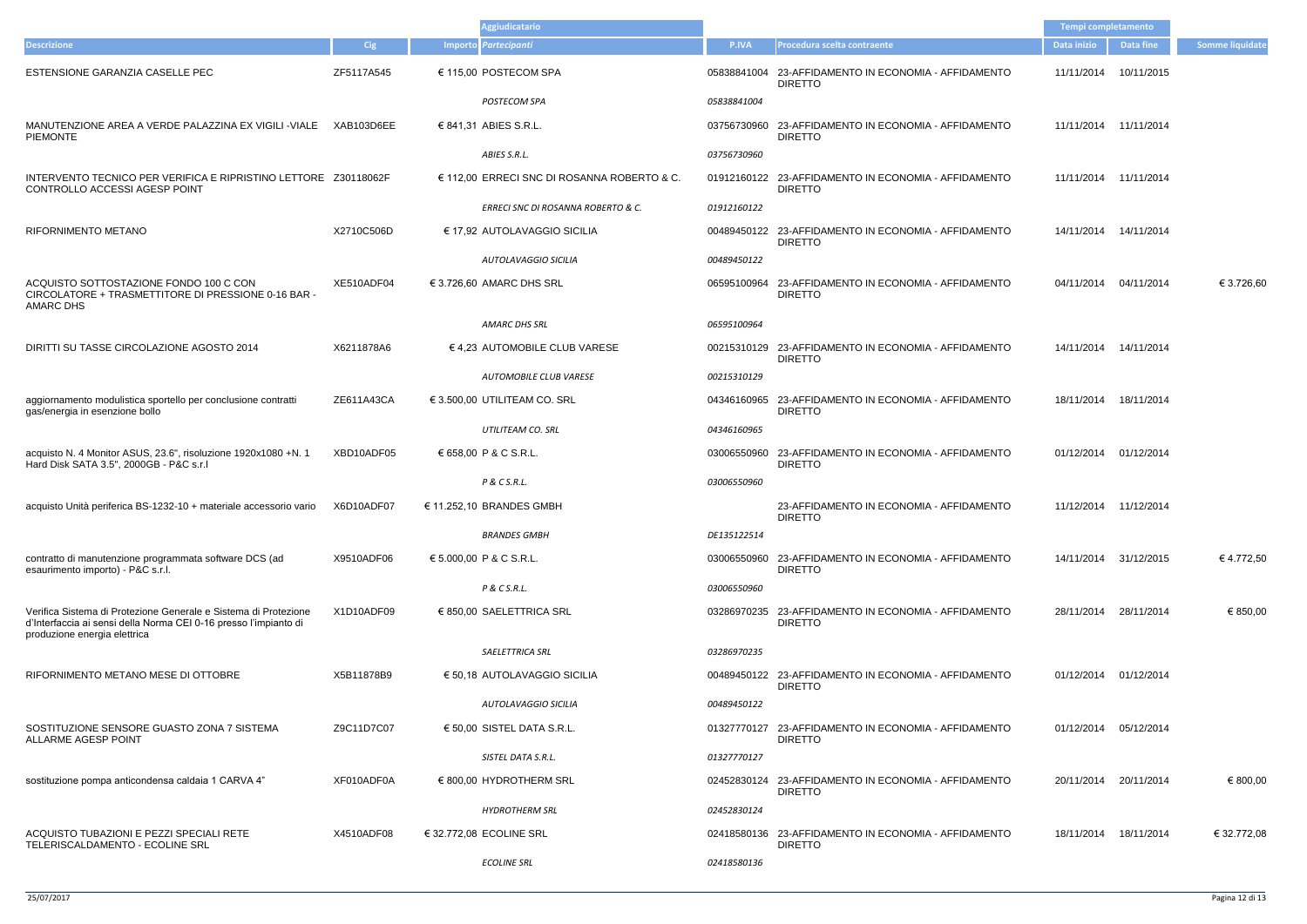|                                                                                                                                                                     |            | <b>Aggiudicatario</b>                       |             |                                                                        | Tempi completamento |                        |                        |
|---------------------------------------------------------------------------------------------------------------------------------------------------------------------|------------|---------------------------------------------|-------------|------------------------------------------------------------------------|---------------------|------------------------|------------------------|
| <b>Descrizione</b>                                                                                                                                                  | Cig        | Importo Partecipanti                        | P.IVA       | Procedura scelta contraente                                            | Data inizio         | <b>Data fine</b>       | <b>Somme liquidate</b> |
| ESTENSIONE GARANZIA CASELLE PEC                                                                                                                                     | ZF5117A545 | € 115,00 POSTECOM SPA                       |             | 05838841004 23-AFFIDAMENTO IN ECONOMIA - AFFIDAMENTO<br><b>DIRETTO</b> | 11/11/2014          | 10/11/2015             |                        |
|                                                                                                                                                                     |            | POSTECOM SPA                                | 05838841004 |                                                                        |                     |                        |                        |
| MANUTENZIONE AREA A VERDE PALAZZINA EX VIGILI -VIALE<br><b>PIEMONTE</b>                                                                                             | XAB103D6EE | € 841,31 ABIES S.R.L.                       |             | 03756730960 23-AFFIDAMENTO IN ECONOMIA - AFFIDAMENTO<br><b>DIRETTO</b> |                     | 11/11/2014 11/11/2014  |                        |
|                                                                                                                                                                     |            | ABIES S.R.L.                                | 03756730960 |                                                                        |                     |                        |                        |
| INTERVENTO TECNICO PER VERIFICA E RIPRISTINO LETTORE Z30118062F<br>CONTROLLO ACCESSI AGESP POINT                                                                    |            | € 112,00 ERRECI SNC DI ROSANNA ROBERTO & C. |             | 01912160122 23-AFFIDAMENTO IN ECONOMIA - AFFIDAMENTO<br><b>DIRETTO</b> |                     | 11/11/2014 11/11/2014  |                        |
|                                                                                                                                                                     |            | ERRECI SNC DI ROSANNA ROBERTO & C.          | 01912160122 |                                                                        |                     |                        |                        |
| <b>RIFORNIMENTO METANO</b>                                                                                                                                          | X2710C506D | € 17,92 AUTOLAVAGGIO SICILIA                |             | 00489450122 23-AFFIDAMENTO IN ECONOMIA - AFFIDAMENTO<br><b>DIRETTO</b> |                     | 14/11/2014  14/11/2014 |                        |
|                                                                                                                                                                     |            | AUTOLAVAGGIO SICILIA                        | 00489450122 |                                                                        |                     |                        |                        |
| ACQUISTO SOTTOSTAZIONE FONDO 100 C CON<br>CIRCOLATORE + TRASMETTITORE DI PRESSIONE 0-16 BAR -<br>AMARC DHS                                                          | XE510ADF04 | € 3.726,60 AMARC DHS SRL                    |             | 06595100964 23-AFFIDAMENTO IN ECONOMIA - AFFIDAMENTO<br><b>DIRETTO</b> |                     | 04/11/2014 04/11/2014  | € 3.726,60             |
|                                                                                                                                                                     |            | AMARC DHS SRL                               | 06595100964 |                                                                        |                     |                        |                        |
| DIRITTI SU TASSE CIRCOLAZIONE AGOSTO 2014                                                                                                                           | X6211878A6 | € 4,23 AUTOMOBILE CLUB VARESE               |             | 00215310129 23-AFFIDAMENTO IN ECONOMIA - AFFIDAMENTO<br><b>DIRETTO</b> | 14/11/2014          | 14/11/2014             |                        |
|                                                                                                                                                                     |            | AUTOMOBILE CLUB VARESE                      | 00215310129 |                                                                        |                     |                        |                        |
| aggiornamento modulistica sportello per conclusione contratti<br>gas/energia in esenzione bollo                                                                     | ZE611A43CA | € 3.500,00 UTILITEAM CO. SRL                |             | 04346160965 23-AFFIDAMENTO IN ECONOMIA - AFFIDAMENTO<br><b>DIRETTO</b> | 18/11/2014          | 18/11/2014             |                        |
|                                                                                                                                                                     |            | UTILITEAM CO. SRL                           | 04346160965 |                                                                        |                     |                        |                        |
| acquisto N. 4 Monitor ASUS, 23.6", risoluzione 1920x1080 +N. 1<br>Hard Disk SATA 3.5", 2000GB - P&C s.r.l                                                           | XBD10ADF05 | € 658,00 P & C S.R.L.                       |             | 03006550960 23-AFFIDAMENTO IN ECONOMIA - AFFIDAMENTO<br><b>DIRETTO</b> |                     | 01/12/2014 01/12/2014  |                        |
|                                                                                                                                                                     |            | P & C S.R.L.                                | 03006550960 |                                                                        |                     |                        |                        |
| acquisto Unità periferica BS-1232-10 + materiale accessorio vario                                                                                                   | X6D10ADF07 | € 11.252,10 BRANDES GMBH                    |             | 23-AFFIDAMENTO IN ECONOMIA - AFFIDAMENTO<br><b>DIRETTO</b>             |                     | 11/12/2014 11/12/2014  |                        |
|                                                                                                                                                                     |            | <b>BRANDES GMBH</b>                         | DE135122514 |                                                                        |                     |                        |                        |
| contratto di manutenzione programmata software DCS (ad<br>esaurimento importo) - P&C s.r.l.                                                                         | X9510ADF06 | € 5.000,00 P & C S.R.L.                     |             | 03006550960 23-AFFIDAMENTO IN ECONOMIA - AFFIDAMENTO<br><b>DIRETTO</b> |                     | 14/11/2014 31/12/2015  | €4.772,50              |
|                                                                                                                                                                     |            | P & C S.R.L.                                | 03006550960 |                                                                        |                     |                        |                        |
| Verifica Sistema di Protezione Generale e Sistema di Protezione<br>d'Interfaccia ai sensi della Norma CEI 0-16 presso l'impianto di<br>produzione energia elettrica | X1D10ADF09 | € 850,00 SAELETTRICA SRL                    |             | 03286970235 23-AFFIDAMENTO IN ECONOMIA - AFFIDAMENTO<br><b>DIRETTO</b> | 28/11/2014          | 28/11/2014             | € 850,00               |
|                                                                                                                                                                     |            | SAELETTRICA SRL                             | 03286970235 |                                                                        |                     |                        |                        |
| RIFORNIMENTO METANO MESE DI OTTOBRE                                                                                                                                 | X5B11878B9 | € 50,18 AUTOLAVAGGIO SICILIA                |             | 00489450122 23-AFFIDAMENTO IN ECONOMIA - AFFIDAMENTO<br><b>DIRETTO</b> |                     | 01/12/2014 01/12/2014  |                        |
|                                                                                                                                                                     |            | AUTOLAVAGGIO SICILIA                        | 00489450122 |                                                                        |                     |                        |                        |
| SOSTITUZIONE SENSORE GUASTO ZONA 7 SISTEMA<br><b>ALLARME AGESP POINT</b>                                                                                            | Z9C11D7C07 | € 50,00 SISTEL DATA S.R.L.                  |             | 01327770127 23-AFFIDAMENTO IN ECONOMIA - AFFIDAMENTO<br><b>DIRETTO</b> | 01/12/2014          | 05/12/2014             |                        |
|                                                                                                                                                                     |            | SISTEL DATA S.R.L.                          | 01327770127 |                                                                        |                     |                        |                        |
| sostituzione pompa anticondensa caldaia 1 CARVA 4"                                                                                                                  | XF010ADF0A | € 800,00 HYDROTHERM SRL                     |             | 02452830124 23-AFFIDAMENTO IN ECONOMIA - AFFIDAMENTO<br><b>DIRETTO</b> | 20/11/2014          | 20/11/2014             | € 800,00               |
|                                                                                                                                                                     |            | <b>HYDROTHERM SRL</b>                       | 02452830124 |                                                                        |                     |                        |                        |
| ACQUISTO TUBAZIONI E PEZZI SPECIALI RETE<br>TELERISCALDAMENTO - ECOLINE SRL                                                                                         | X4510ADF08 | € 32.772,08 ECOLINE SRL                     |             | 02418580136 23-AFFIDAMENTO IN ECONOMIA - AFFIDAMENTO<br><b>DIRETTO</b> | 18/11/2014          | 18/11/2014             | € 32.772,08            |
|                                                                                                                                                                     |            | <b>ECOLINE SRL</b>                          | 02418580136 |                                                                        |                     |                        |                        |